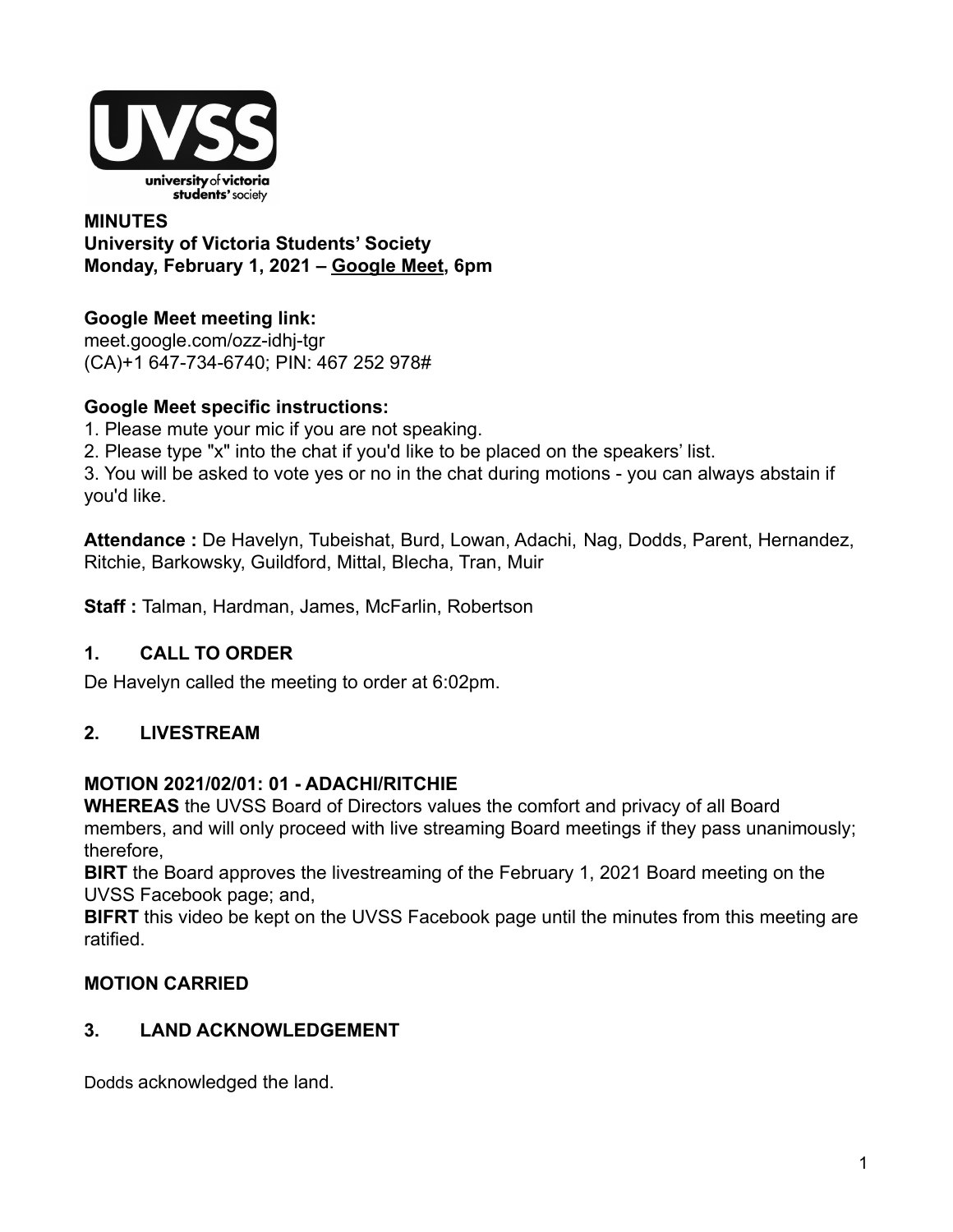

## **MINUTES University of Victoria Students' Society Monday, February 1, 2021 – [Google Meet](http://meet.google.com/ozz-idhj-tgr), 6pm**

## **Google Meet meeting link[:](https://us02web.zoom.us/j/84726203931?pwd=bGNKTElKZEFIWkNvRlY2TFBqb3dQUT09)**

[meet.google.com/ozz-idhj-tgr](https://meet.google.com/ozz-idhj-tgr?hs=122&authuser=2) (CA)+1 647-734-6740; PIN: 467 252 978#

## **Google Meet specific instructions:**

1. Please mute your mic if you are not speaking.

2. Please type "x" into the chat if you'd like to be placed on the speakers' list.

3. You will be asked to vote yes or no in the chat during motions - you can always abstain if you'd like.

**Attendance :** De Havelyn, Tubeishat, Burd, Lowan, Adachi, Nag, Dodds, Parent, Hernandez, Ritchie, Barkowsky, Guildford, Mittal, Blecha, Tran, Muir

**Staff :** Talman, Hardman, James, McFarlin, Robertson

## **1. CALL TO ORDER**

De Havelyn called the meeting to order at 6:02pm.

## **2. LIVESTREAM**

## **MOTION 2021/02/01: 01 - ADACHI/RITCHIE**

**WHEREAS** the UVSS Board of Directors values the comfort and privacy of all Board members, and will only proceed with live streaming Board meetings if they pass unanimously; therefore,

**BIRT** the Board approves the livestreaming of the February 1, 2021 Board meeting on the UVSS Facebook page; and,

**BIFRT** this video be kept on the UVSS Facebook page until the minutes from this meeting are ratified.

## **MOTION CARRIED**

## **3. LAND ACKNOWLEDGEMENT**

Dodds acknowledged the land.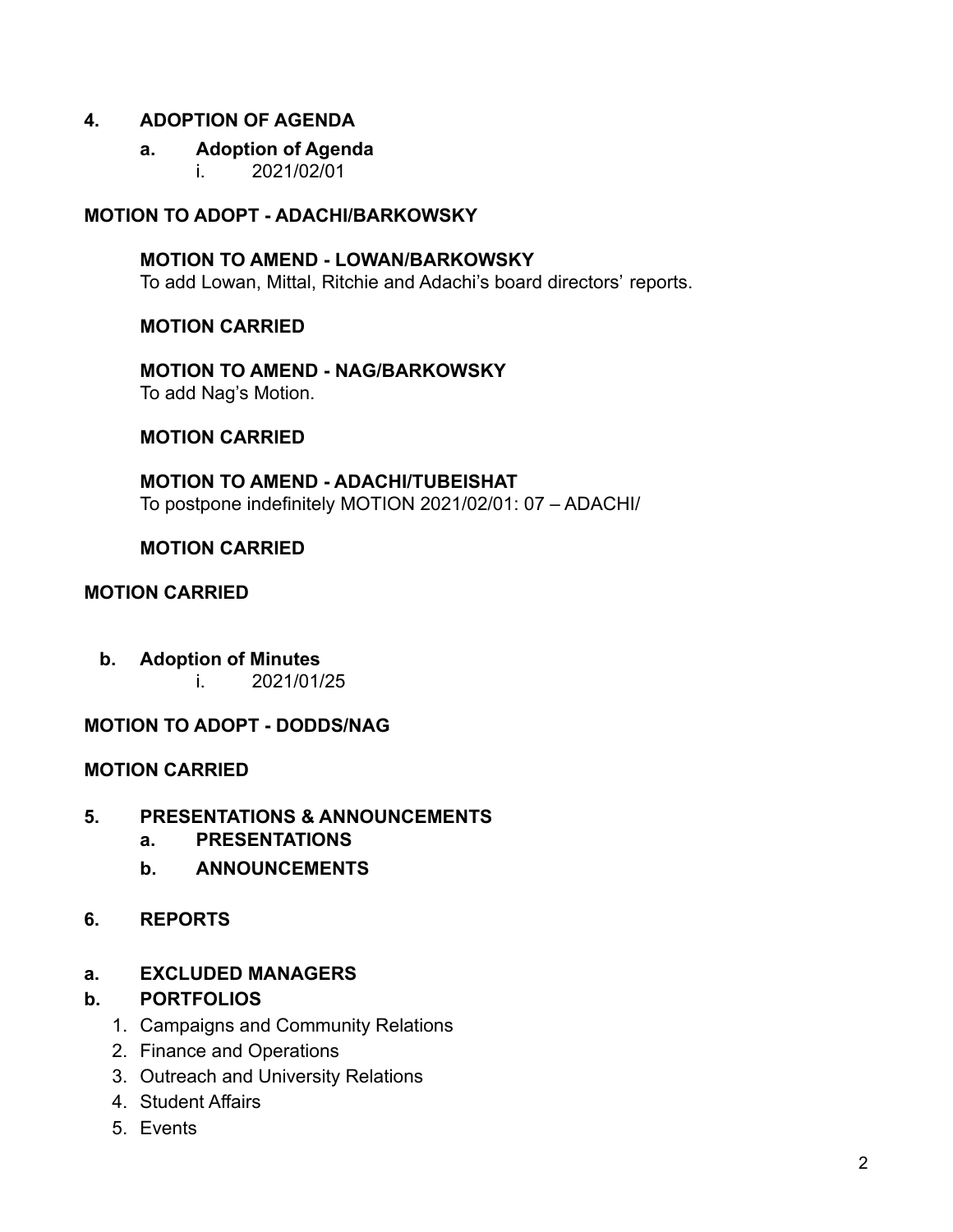#### **4. ADOPTION OF AGENDA**

#### **a. Adoption of Agenda**

i. 2021/02/01

### **MOTION TO ADOPT - ADACHI/BARKOWSKY**

**MOTION TO AMEND - LOWAN/BARKOWSKY** To add Lowan, Mittal, Ritchie and Adachi's board directors' reports.

#### **MOTION CARRIED**

**MOTION TO AMEND - NAG/BARKOWSKY** To add Nag's Motion.

#### **MOTION CARRIED**

**MOTION TO AMEND - ADACHI/TUBEISHAT** To postpone indefinitely MOTION 2021/02/01: 07 – ADACHI/

#### **MOTION CARRIED**

## **MOTION CARRIED**

**b. Adoption of Minutes** i. 2021/01/25

## **MOTION TO ADOPT - DODDS/NAG**

#### **MOTION CARRIED**

- **5. PRESENTATIONS & ANNOUNCEMENTS**
	- **a. PRESENTATIONS**
	- **b. ANNOUNCEMENTS**
- **6. REPORTS**

#### **a. EXCLUDED MANAGERS**

#### **b. PORTFOLIOS**

- 1. Campaigns and Community Relations
- 2. Finance and Operations
- 3. Outreach and University Relations
- 4. Student Affairs
- 5. Events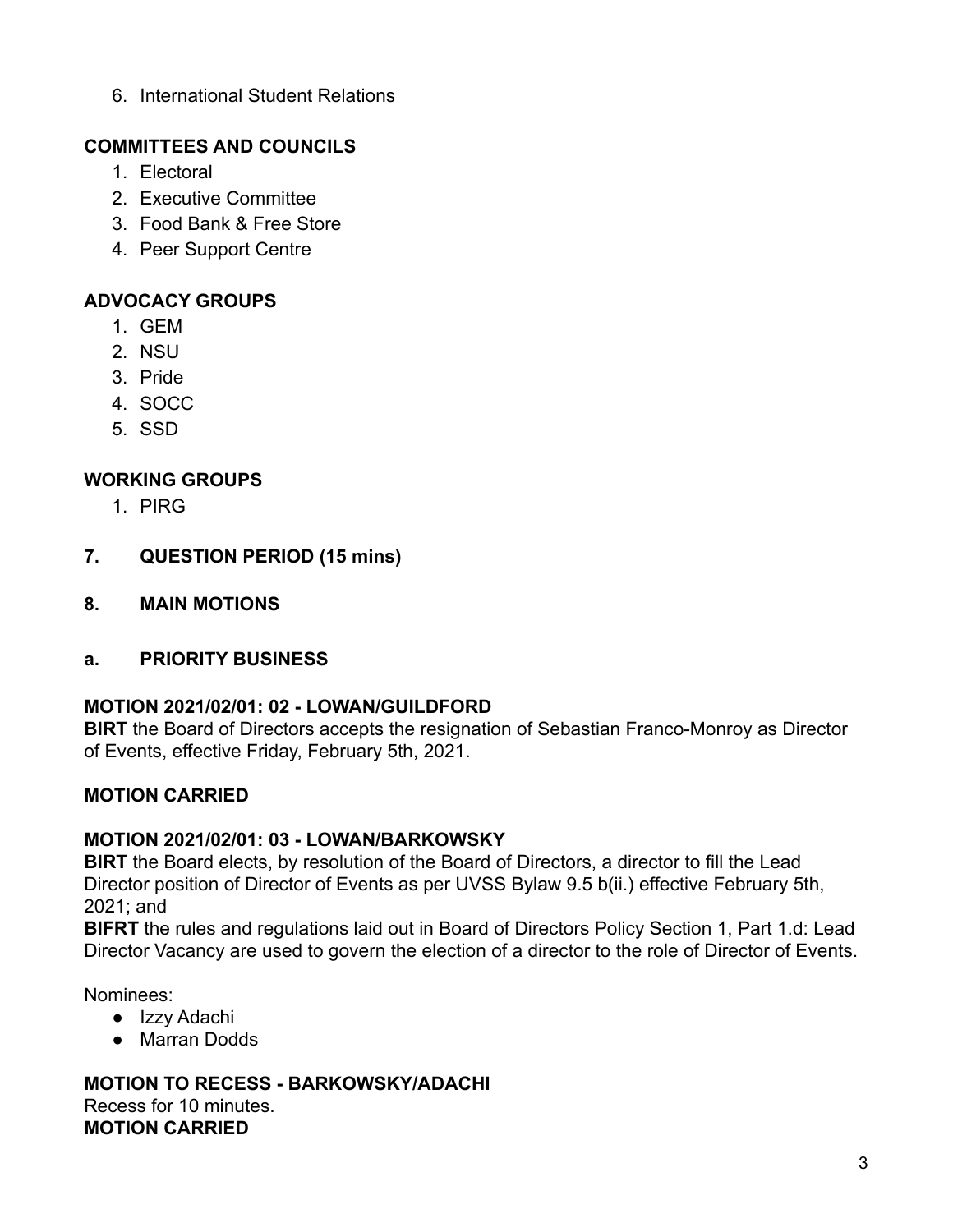6. International Student Relations

## **COMMITTEES AND COUNCILS**

- 1. Electoral
- 2. Executive Committee
- 3. Food Bank & Free Store
- 4. Peer Support Centre

## **ADVOCACY GROUPS**

- 1. GEM
- 2. NSU
- 3. Pride
- 4. SOCC
- 5. SSD

## **WORKING GROUPS**

- 1. PIRG
- **7. QUESTION PERIOD (15 mins)**
- **8. MAIN MOTIONS**
- **a. PRIORITY BUSINESS**

## **MOTION 2021/02/01: 02 - LOWAN/GUILDFORD**

**BIRT** the Board of Directors accepts the resignation of Sebastian Franco-Monroy as Director of Events, effective Friday, February 5th, 2021.

## **MOTION CARRIED**

## **MOTION 2021/02/01: 03 - LOWAN/BARKOWSKY**

**BIRT** the Board elects, by resolution of the Board of Directors, a director to fill the Lead Director position of Director of Events as per UVSS Bylaw 9.5 b(ii.) effective February 5th, 2021; and

**BIFRT** the rules and regulations laid out in Board of Directors Policy Section 1, Part 1.d: Lead Director Vacancy are used to govern the election of a director to the role of Director of Events.

Nominees:

- Izzy Adachi
- Marran Dodds

**MOTION TO RECESS - BARKOWSKY/ADACHI** Recess for 10 minutes. **MOTION CARRIED**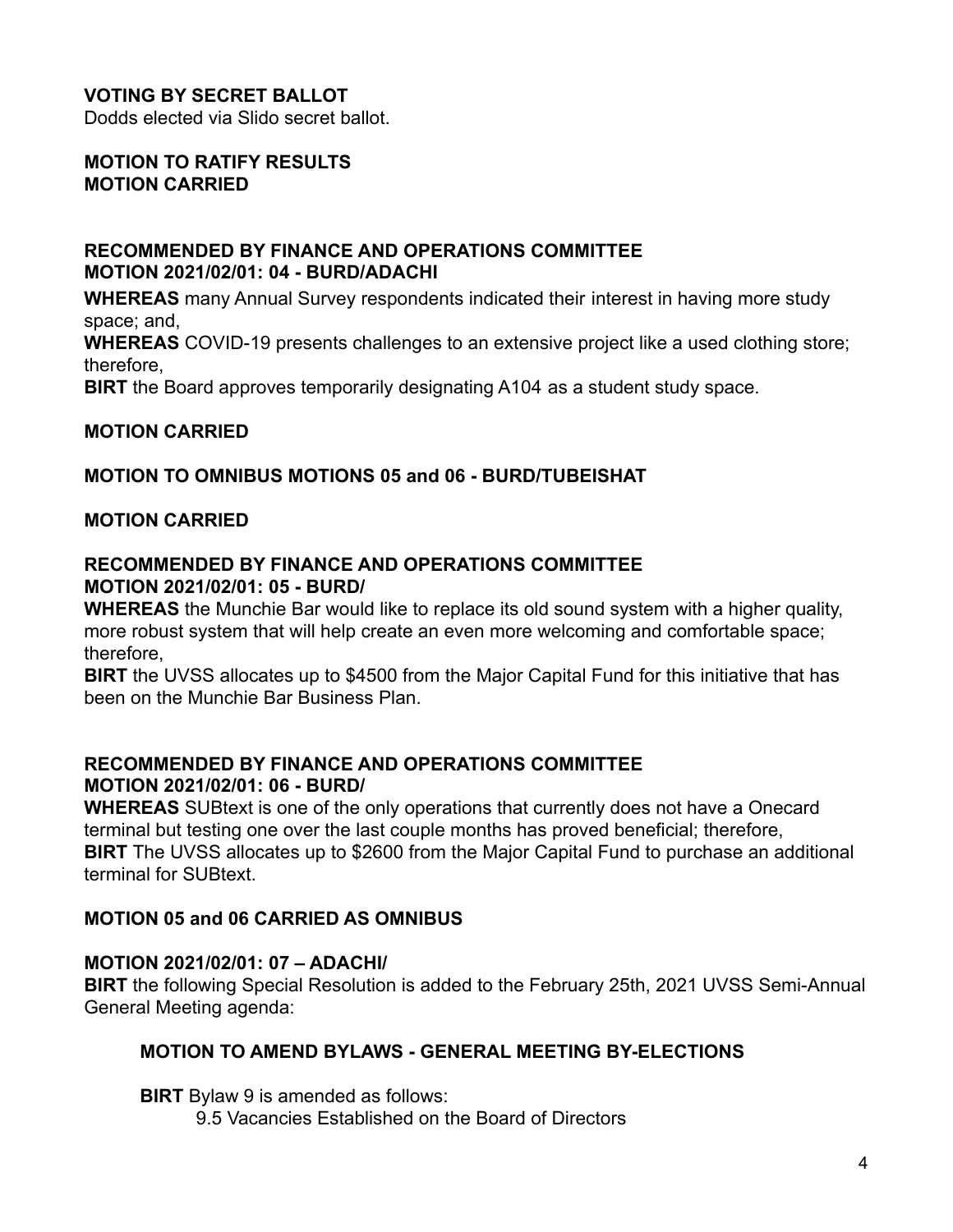## **VOTING BY SECRET BALLOT**

Dodds elected via Slido secret ballot.

#### **MOTION TO RATIFY RESULTS MOTION CARRIED**

#### **RECOMMENDED BY FINANCE AND OPERATIONS COMMITTEE MOTION 2021/02/01: 04 - BURD/ADACHI**

**WHEREAS** many Annual Survey respondents indicated their interest in having more study space; and,

**WHEREAS** COVID-19 presents challenges to an extensive project like a used clothing store; therefore,

**BIRT** the Board approves temporarily designating A104 as a student study space.

#### **MOTION CARRIED**

#### **MOTION TO OMNIBUS MOTIONS 05 and 06 - BURD/TUBEISHAT**

#### **MOTION CARRIED**

#### **RECOMMENDED BY FINANCE AND OPERATIONS COMMITTEE MOTION 2021/02/01: 05 - BURD/**

**WHEREAS** the Munchie Bar would like to replace its old sound system with a higher quality, more robust system that will help create an even more welcoming and comfortable space; therefore,

**BIRT** the UVSS allocates up to \$4500 from the Major Capital Fund for this initiative that has been on the Munchie Bar Business Plan.

## **RECOMMENDED BY FINANCE AND OPERATIONS COMMITTEE MOTION 2021/02/01: 06 - BURD/**

**WHEREAS** SUBtext is one of the only operations that currently does not have a Onecard terminal but testing one over the last couple months has proved beneficial; therefore, **BIRT** The UVSS allocates up to \$2600 from the Major Capital Fund to purchase an additional terminal for SUBtext.

#### **MOTION 05 and 06 CARRIED AS OMNIBUS**

#### **MOTION 2021/02/01: 07 – ADACHI/**

**BIRT** the following Special Resolution is added to the February 25th, 2021 UVSS Semi-Annual General Meeting agenda:

#### **MOTION TO AMEND BYLAWS - GENERAL MEETING BY-ELECTIONS**

**BIRT** Bylaw 9 is amended as follows:

9.5 Vacancies Established on the Board of Directors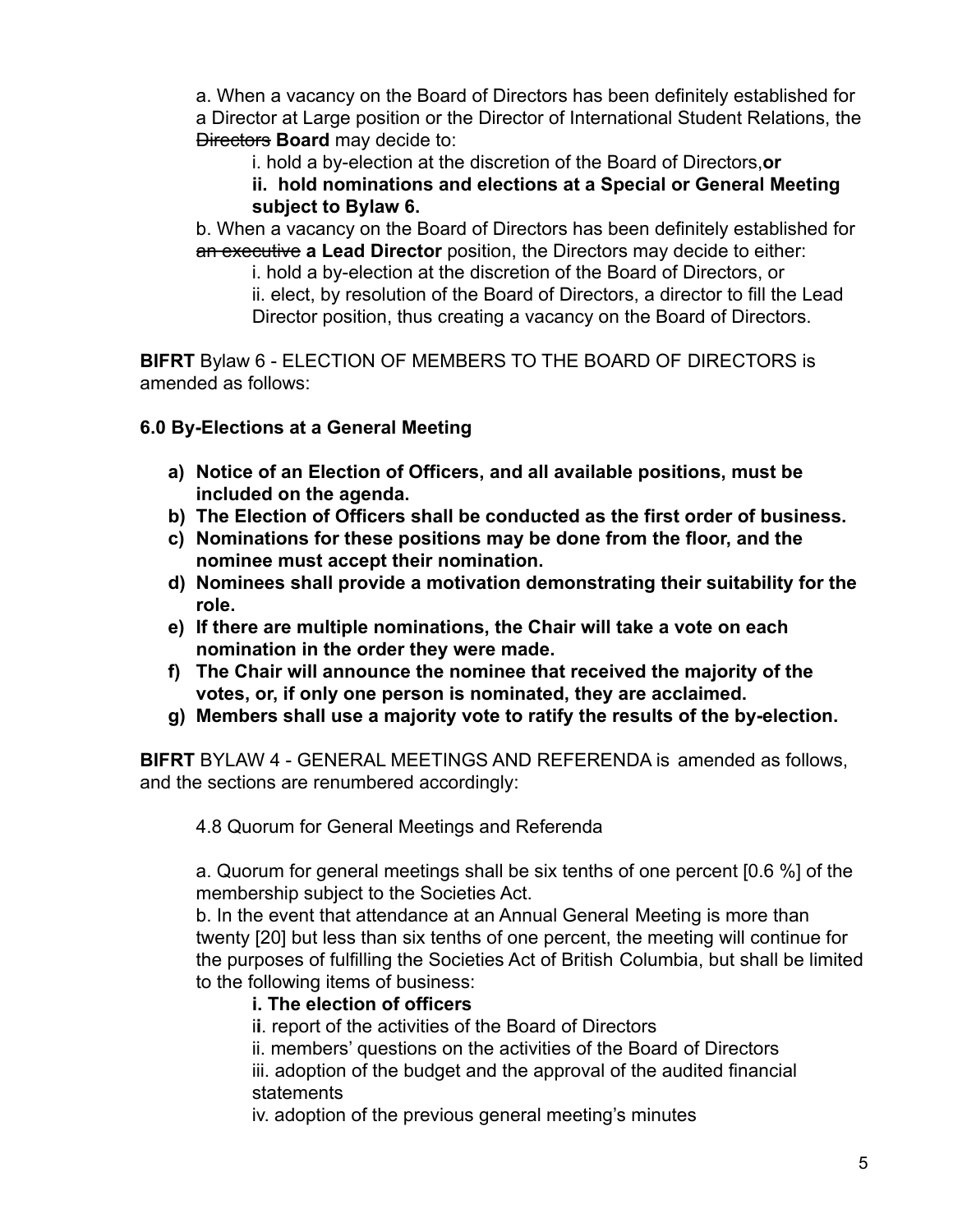a. When a vacancy on the Board of Directors has been definitely established for a Director at Large position or the Director of International Student Relations, the Directors **Board** may decide to:

i. hold a by-election at the discretion of the Board of Directors,**or**

**ii. hold nominations and elections at a Special or General Meeting subject to Bylaw 6.**

b. When a vacancy on the Board of Directors has been definitely established for an executive **a Lead Director** position, the Directors may decide to either:

i. hold a by-election at the discretion of the Board of Directors, or

ii. elect, by resolution of the Board of Directors, a director to fill the Lead Director position, thus creating a vacancy on the Board of Directors.

**BIFRT** Bylaw 6 - ELECTION OF MEMBERS TO THE BOARD OF DIRECTORS is amended as follows:

**6.0 By-Elections at a General Meeting**

- **a) Notice of an Election of Officers, and all available positions, must be included on the agenda.**
- **b) The Election of Officers shall be conducted as the first order of business.**
- **c) Nominations for these positions may be done from the floor, and the nominee must accept their nomination.**
- **d) Nominees shall provide a motivation demonstrating their suitability for the role.**
- **e) If there are multiple nominations, the Chair will take a vote on each nomination in the order they were made.**
- **f) The Chair will announce the nominee that received the majority of the votes, or, if only one person is nominated, they are acclaimed.**
- **g) Members shall use a majority vote to ratify the results of the by-election.**

**BIFRT** BYLAW 4 - GENERAL MEETINGS AND REFERENDA is amended as follows, and the sections are renumbered accordingly:

4.8 Quorum for General Meetings and Referenda

a. Quorum for general meetings shall be six tenths of one percent [0.6 %] of the membership subject to the Societies Act.

b. In the event that attendance at an Annual General Meeting is more than twenty [20] but less than six tenths of one percent, the meeting will continue for the purposes of fulfilling the Societies Act of British Columbia, but shall be limited to the following items of business:

## **i. The election of officers**

i**i**. report of the activities of the Board of Directors

ii. members' questions on the activities of the Board of Directors

iii. adoption of the budget and the approval of the audited financial statements

iv. adoption of the previous general meeting's minutes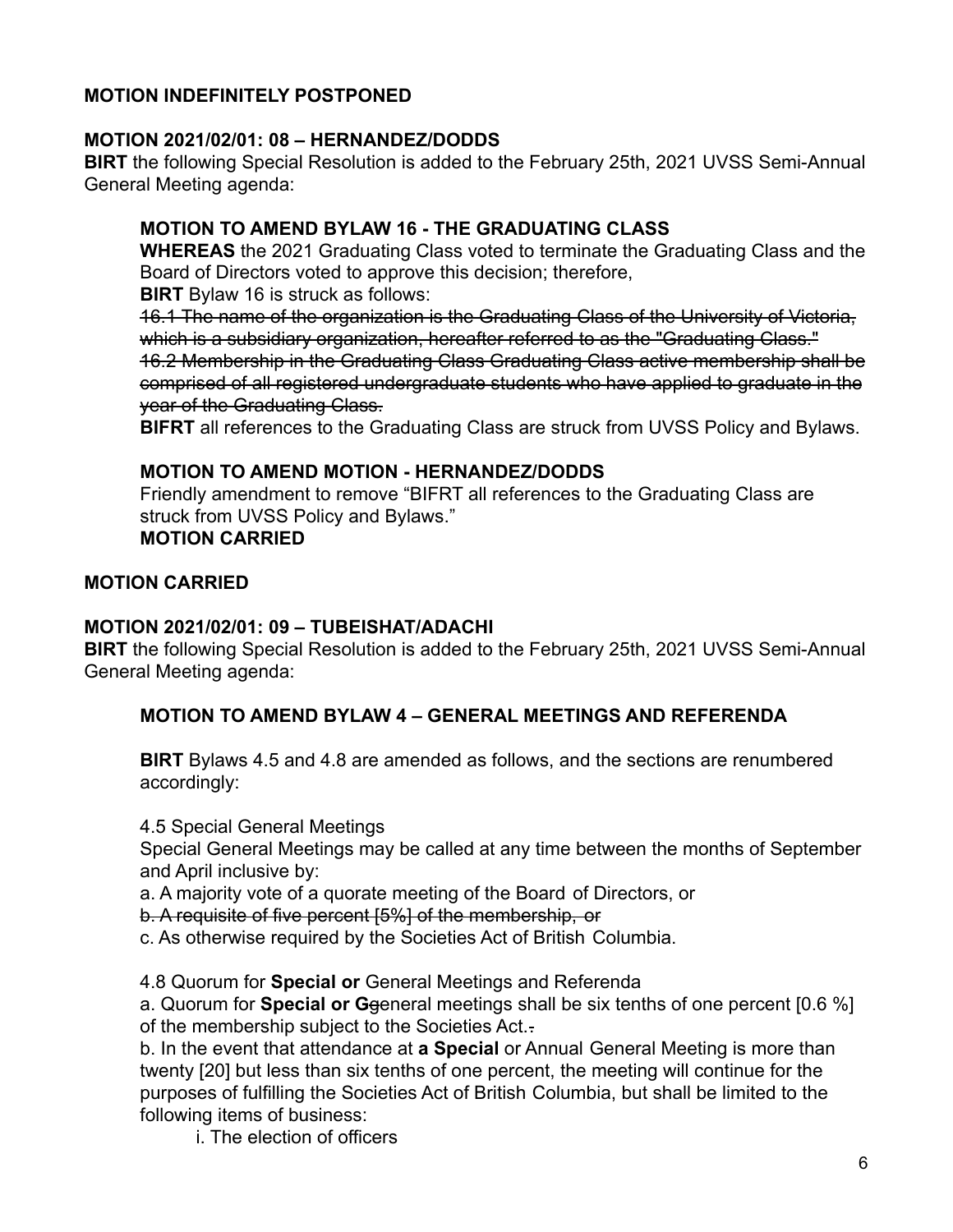## **MOTION INDEFINITELY POSTPONED**

#### **MOTION 2021/02/01: 08 – HERNANDEZ/DODDS**

**BIRT** the following Special Resolution is added to the February 25th, 2021 UVSS Semi-Annual General Meeting agenda:

### **MOTION TO AMEND BYLAW 16 - THE GRADUATING CLASS**

**WHEREAS** the 2021 Graduating Class voted to terminate the Graduating Class and the Board of Directors voted to approve this decision; therefore,

**BIRT** Bylaw 16 is struck as follows:

16.1 The name of the organization is the Graduating Class of the University of Victoria, which is a subsidiary organization, hereafter referred to as the "Graduating Class." 16.2 Membership in the Graduating Class Graduating Class active membership shall be comprised of all registered undergraduate students who have applied to graduate in the year of the Graduating Class.

**BIFRT** all references to the Graduating Class are struck from UVSS Policy and Bylaws.

#### **MOTION TO AMEND MOTION - HERNANDEZ/DODDS**

Friendly amendment to remove "BIFRT all references to the Graduating Class are struck from UVSS Policy and Bylaws."

## **MOTION CARRIED**

#### **MOTION CARRIED**

#### **MOTION 2021/02/01: 09 – TUBEISHAT/ADACHI**

**BIRT** the following Special Resolution is added to the February 25th, 2021 UVSS Semi-Annual General Meeting agenda:

#### **MOTION TO AMEND BYLAW 4 – GENERAL MEETINGS AND REFERENDA**

**BIRT** Bylaws 4.5 and 4.8 are amended as follows, and the sections are renumbered accordingly:

4.5 Special General Meetings

Special General Meetings may be called at any time between the months of September and April inclusive by:

a. A majority vote of a quorate meeting of the Board of Directors, or

b. A requisite of five percent [5%] of the membership, or

c. As otherwise required by the Societies Act of British Columbia.

4.8 Quorum for **Special or** General Meetings and Referenda

a. Quorum for **Special or G**general meetings shall be six tenths of one percent [0.6 %] of the membership subject to the Societies Act..

b. In the event that attendance at **a Special** or Annual General Meeting is more than twenty [20] but less than six tenths of one percent, the meeting will continue for the purposes of fulfilling the Societies Act of British Columbia, but shall be limited to the following items of business:

i. The election of officers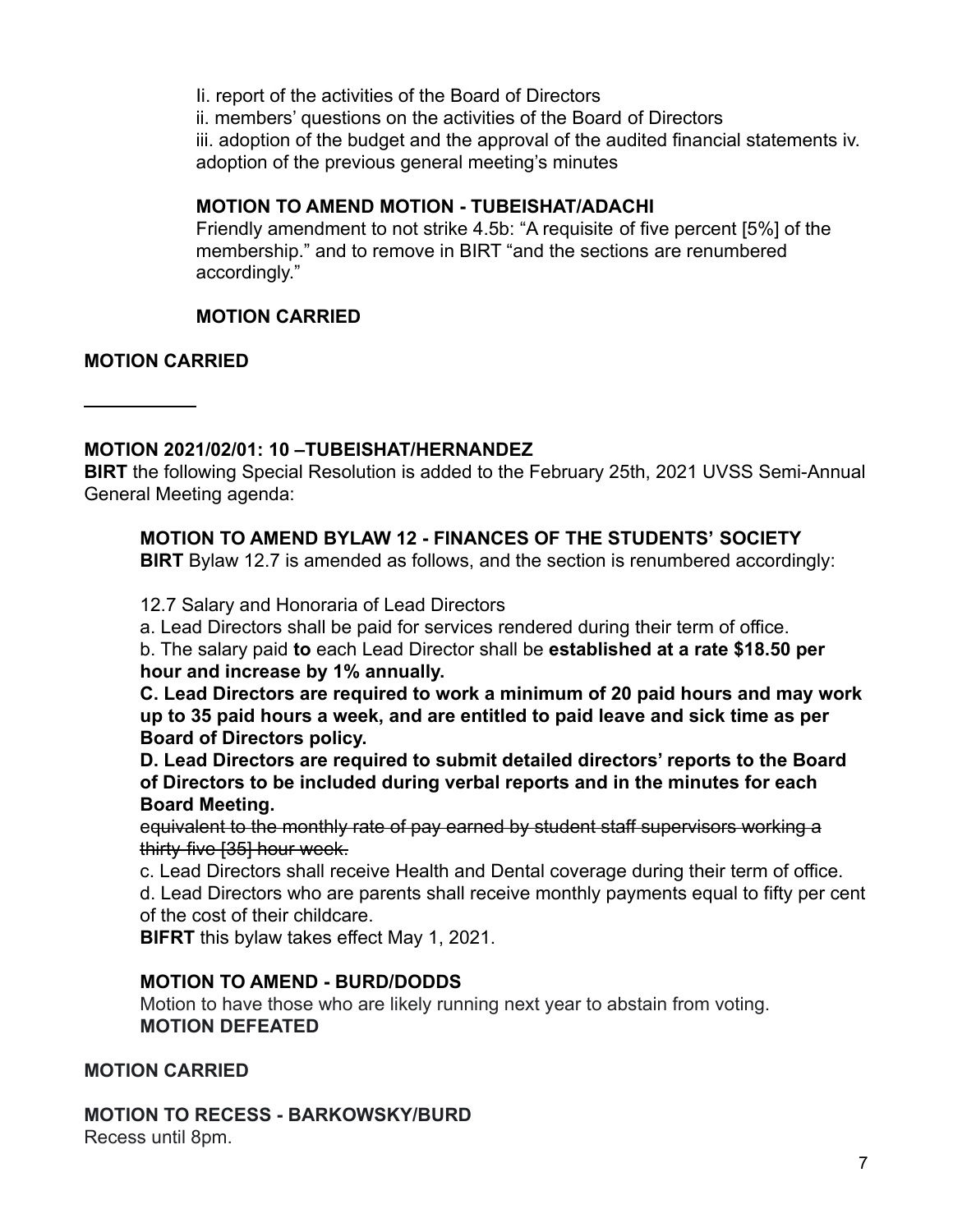Ii. report of the activities of the Board of Directors ii. members' questions on the activities of the Board of Directors iii. adoption of the budget and the approval of the audited financial statements iv. adoption of the previous general meeting's minutes

## **MOTION TO AMEND MOTION - TUBEISHAT/ADACHI**

Friendly amendment to not strike 4.5b: "A requisite of five percent [5%] of the membership." and to remove in BIRT "and the sections are renumbered accordingly."

## **MOTION CARRIED**

#### **MOTION CARRIED**

## **MOTION 2021/02/01: 10 –TUBEISHAT/HERNANDEZ**

**BIRT** the following Special Resolution is added to the February 25th, 2021 UVSS Semi-Annual General Meeting agenda:

## **MOTION TO AMEND BYLAW 12 - FINANCES OF THE STUDENTS' SOCIETY**

**BIRT** Bylaw 12.7 is amended as follows, and the section is renumbered accordingly:

12.7 Salary and Honoraria of Lead Directors

a. Lead Directors shall be paid for services rendered during their term of office.

b. The salary paid **to** each Lead Director shall be **established at a rate \$18.50 per hour and increase by 1% annually.**

**C. Lead Directors are required to work a minimum of 20 paid hours and may work up to 35 paid hours a week, and are entitled to paid leave and sick time as per Board of Directors policy.**

**D. Lead Directors are required to submit detailed directors' reports to the Board of Directors to be included during verbal reports and in the minutes for each Board Meeting.**

equivalent to the monthly rate of pay earned by student staff supervisors working a thirty-five [35] hour week.

c. Lead Directors shall receive Health and Dental coverage during their term of office.

d. Lead Directors who are parents shall receive monthly payments equal to fifty per cent of the cost of their childcare.

**BIFRT** this bylaw takes effect May 1, 2021.

## **MOTION TO AMEND - BURD/DODDS**

Motion to have those who are likely running next year to abstain from voting. **MOTION DEFEATED**

## **MOTION CARRIED**

**MOTION TO RECESS - BARKOWSKY/BURD** Recess until 8pm.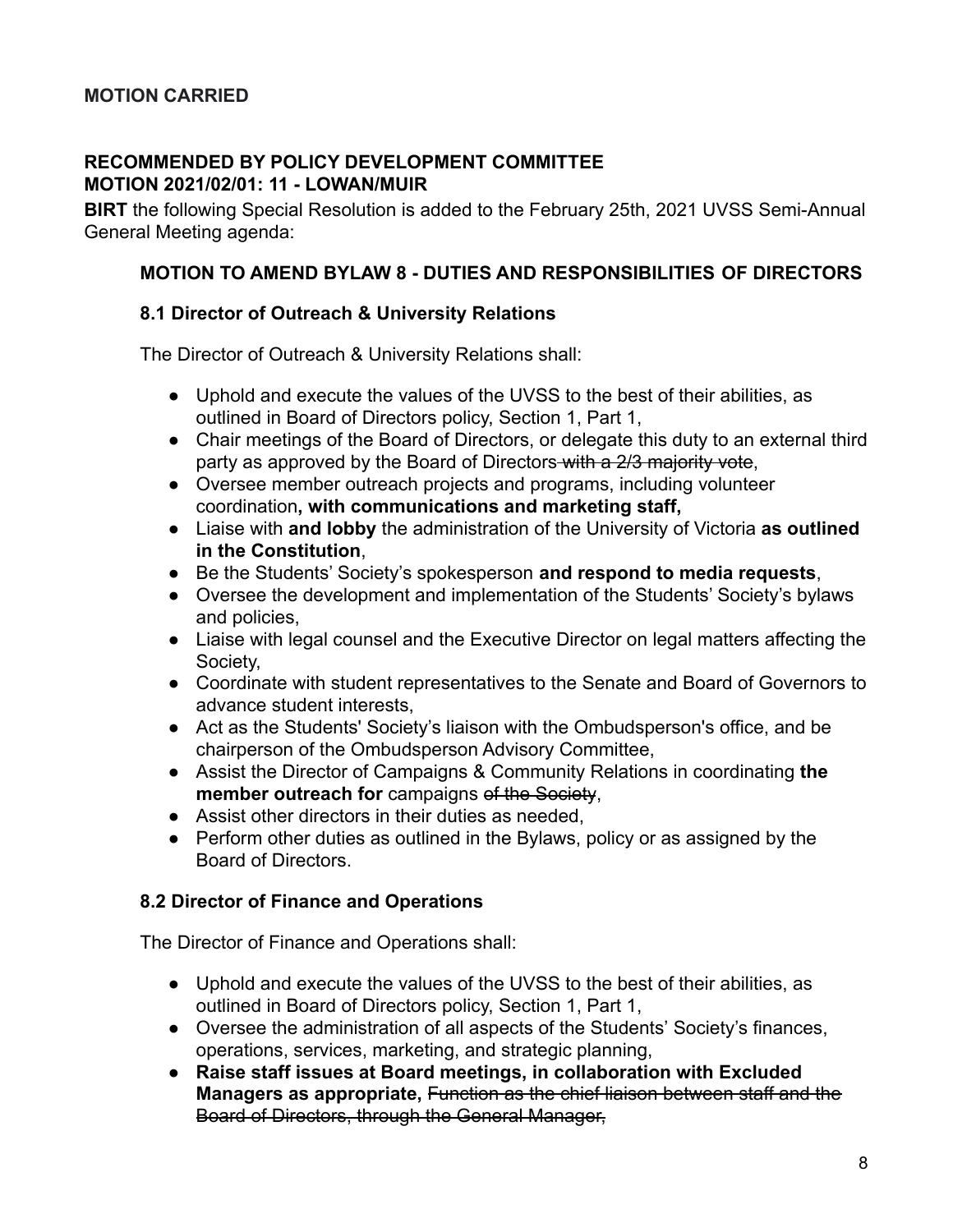#### **RECOMMENDED BY POLICY DEVELOPMENT COMMITTEE MOTION 2021/02/01: 11 - LOWAN/MUIR**

**BIRT** the following Special Resolution is added to the February 25th, 2021 UVSS Semi-Annual General Meeting agenda:

#### **MOTION TO AMEND BYLAW 8 - DUTIES AND RESPONSIBILITIES OF DIRECTORS**

#### **8.1 Director of Outreach & University Relations**

The Director of Outreach & University Relations shall:

- Uphold and execute the values of the UVSS to the best of their abilities, as outlined in Board of Directors policy, Section 1, Part 1,
- Chair meetings of the Board of Directors, or delegate this duty to an external third party as approved by the Board of Directors-with a 2/3 majority vote,
- Oversee member outreach projects and programs, including volunteer coordination**, with communications and marketing staff,**
- Liaise with **and lobby** the administration of the University of Victoria **as outlined in the Constitution**,
- Be the Students' Society's spokesperson **and respond to media requests**,
- Oversee the development and implementation of the Students' Society's bylaws and policies,
- Liaise with legal counsel and the Executive Director on legal matters affecting the Society,
- Coordinate with student representatives to the Senate and Board of Governors to advance student interests,
- Act as the Students' Society's liaison with the Ombudsperson's office, and be chairperson of the Ombudsperson Advisory Committee,
- Assist the Director of Campaigns & Community Relations in coordinating **the member outreach for** campaigns of the Society,
- Assist other directors in their duties as needed,
- Perform other duties as outlined in the Bylaws, policy or as assigned by the Board of Directors.

## **8.2 Director of Finance and Operations**

The Director of Finance and Operations shall:

- Uphold and execute the values of the UVSS to the best of their abilities, as outlined in Board of Directors policy, Section 1, Part 1,
- Oversee the administration of all aspects of the Students' Society's finances, operations, services, marketing, and strategic planning,
- **Raise staff issues at Board meetings, in collaboration with Excluded Managers as appropriate,** Function as the chief liaison between staff and the Board of Directors, through the General Manager,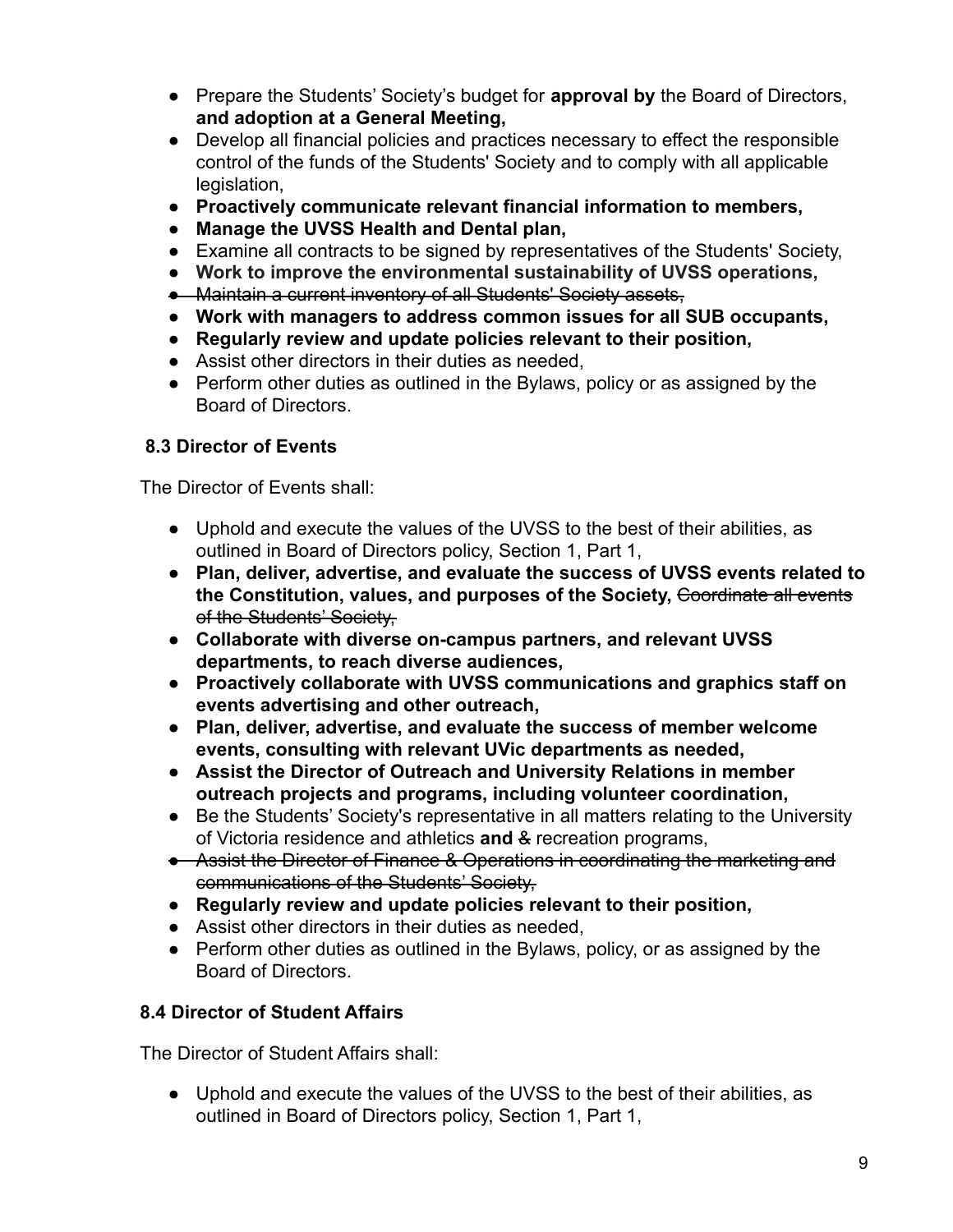- Prepare the Students' Society's budget for **approval by** the Board of Directors, **and adoption at a General Meeting,**
- Develop all financial policies and practices necessary to effect the responsible control of the funds of the Students' Society and to comply with all applicable legislation.
- **● Proactively communicate relevant financial information to members,**
- **● Manage the UVSS Health and Dental plan,**
- Examine all contracts to be signed by representatives of the Students' Society,
- **● Work to improve the environmental sustainability of UVSS operations,**
- Maintain a current inventory of all Students' Society assets,
- **● Work with managers to address common issues for all SUB occupants,**
- **● Regularly review and update policies relevant to their position,**
- Assist other directors in their duties as needed,
- Perform other duties as outlined in the Bylaws, policy or as assigned by the Board of Directors.

## **8.3 Director of Events**

The Director of Events shall:

- Uphold and execute the values of the UVSS to the best of their abilities, as outlined in Board of Directors policy, Section 1, Part 1,
- **Plan, deliver, advertise, and evaluate the success of UVSS events related to the Constitution, values, and purposes of the Society,** Coordinate all events of the Students' Society,
- **● Collaborate with diverse on-campus partners, and relevant UVSS departments, to reach diverse audiences,**
- **● Proactively collaborate with UVSS communications and graphics staff on events advertising and other outreach,**
- **● Plan, deliver, advertise, and evaluate the success of member welcome events, consulting with relevant UVic departments as needed,**
- **● Assist the Director of Outreach and University Relations in member outreach projects and programs, including volunteer coordination,**
- Be the Students' Society's representative in all matters relating to the University of Victoria residence and athletics **and** & recreation programs,
- Assist the Director of Finance & Operations in coordinating the marketing and communications of the Students' Society,
- **Regularly review and update policies relevant to their position,**
- Assist other directors in their duties as needed,
- Perform other duties as outlined in the Bylaws, policy, or as assigned by the Board of Directors.

## **8.4 Director of Student Affairs**

The Director of Student Affairs shall:

● Uphold and execute the values of the UVSS to the best of their abilities, as outlined in Board of Directors policy, Section 1, Part 1,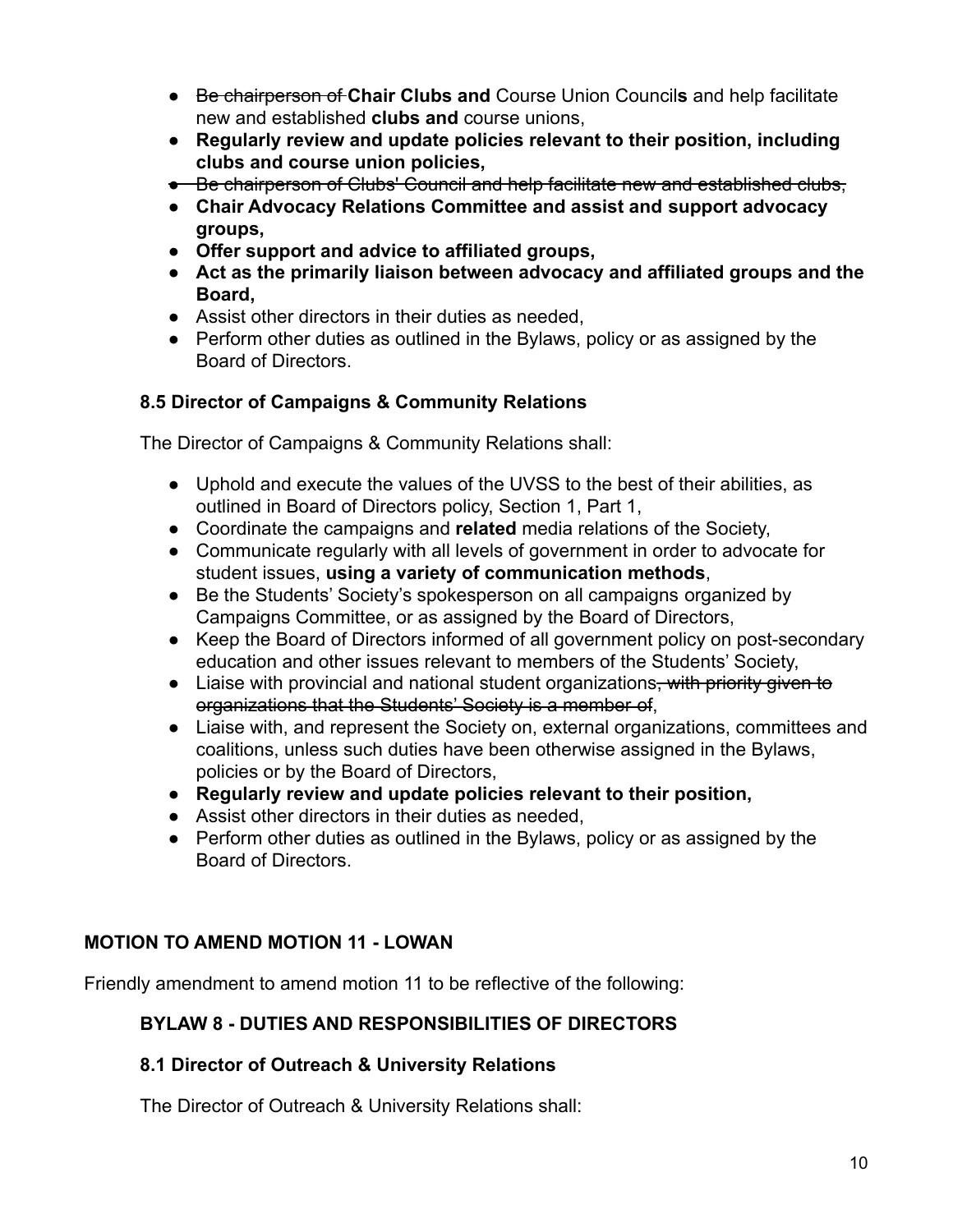- Be chairperson of **Chair Clubs and** Course Union Council**s** and help facilitate new and established **clubs and** course unions,
- **● Regularly review and update policies relevant to their position, including clubs and course union policies,**
- Be chairperson of Clubs' Council and help facilitate new and established clubs,
- **Chair Advocacy Relations Committee and assist and support advocacy groups,**
- **● Offer support and advice to affiliated groups,**
- **Act as the primarily liaison between advocacy and affiliated groups and the Board,**
- Assist other directors in their duties as needed,
- Perform other duties as outlined in the Bylaws, policy or as assigned by the Board of Directors.

## **8.5 Director of Campaigns & Community Relations**

The Director of Campaigns & Community Relations shall:

- Uphold and execute the values of the UVSS to the best of their abilities, as outlined in Board of Directors policy, Section 1, Part 1,
- Coordinate the campaigns and **related** media relations of the Society,
- Communicate regularly with all levels of government in order to advocate for student issues, **using a variety of communication methods**,
- Be the Students' Society's spokesperson on all campaigns organized by Campaigns Committee, or as assigned by the Board of Directors,
- Keep the Board of Directors informed of all government policy on post-secondary education and other issues relevant to members of the Students' Society,
- Liaise with provincial and national student organizations<del>, with priority given to</del> organizations that the Students' Society is a member of,
- Liaise with, and represent the Society on, external organizations, committees and coalitions, unless such duties have been otherwise assigned in the Bylaws, policies or by the Board of Directors,
- **Regularly review and update policies relevant to their position,**
- Assist other directors in their duties as needed,
- Perform other duties as outlined in the Bylaws, policy or as assigned by the Board of Directors.

## **MOTION TO AMEND MOTION 11 - LOWAN**

Friendly amendment to amend motion 11 to be reflective of the following:

## **BYLAW 8 - DUTIES AND RESPONSIBILITIES OF DIRECTORS**

## **8.1 Director of Outreach & University Relations**

The Director of Outreach & University Relations shall: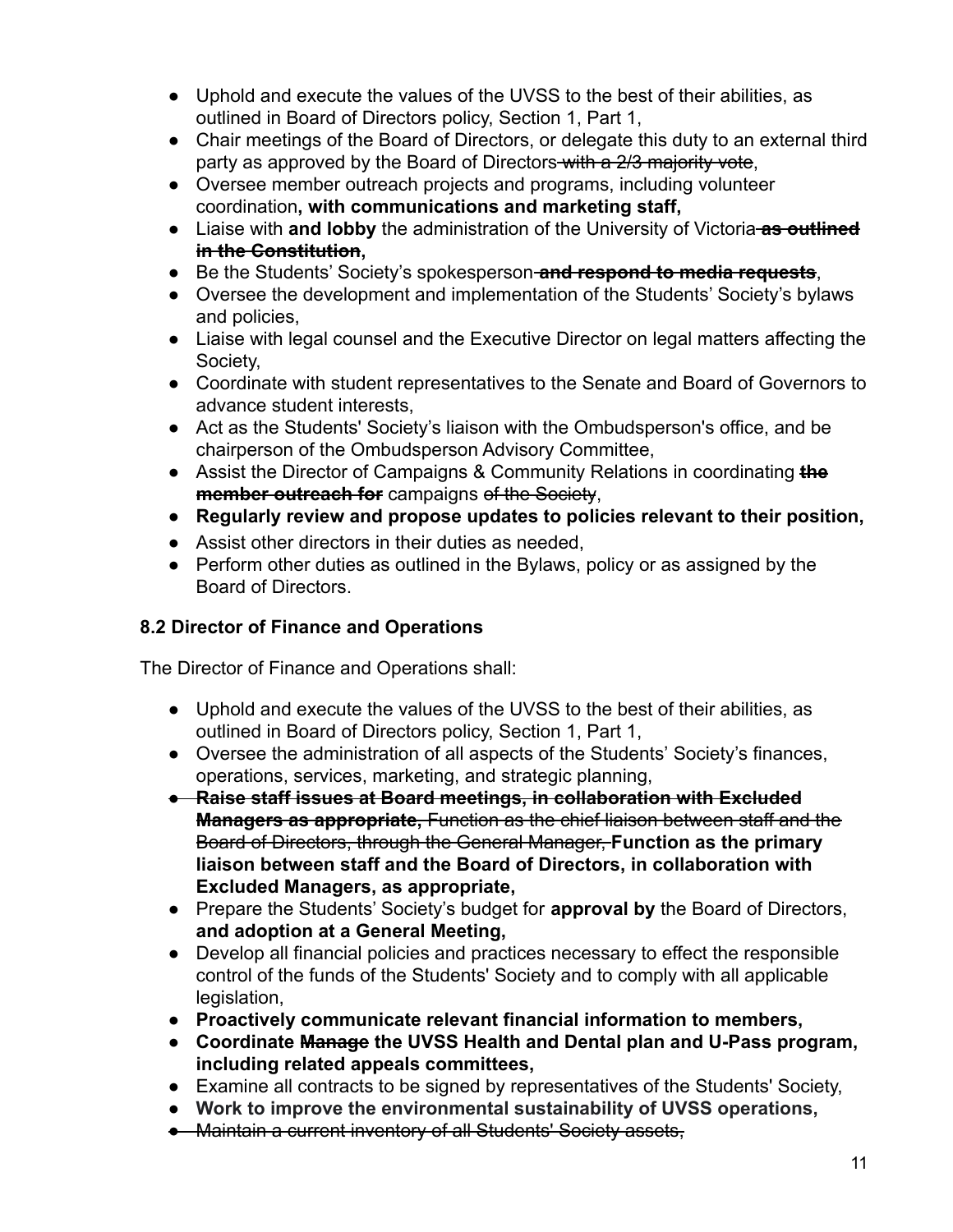- Uphold and execute the values of the UVSS to the best of their abilities, as outlined in Board of Directors policy, Section 1, Part 1,
- Chair meetings of the Board of Directors, or delegate this duty to an external third party as approved by the Board of Directors with a 2/3 majority vote,
- Oversee member outreach projects and programs, including volunteer coordination**, with communications and marketing staff,**
- Liaise with **and lobby** the administration of the University of Victoria **as outlined in the Constitution,**
- Be the Students' Society's spokesperson **and respond to media requests**,
- Oversee the development and implementation of the Students' Society's bylaws and policies,
- Liaise with legal counsel and the Executive Director on legal matters affecting the Society,
- Coordinate with student representatives to the Senate and Board of Governors to advance student interests,
- Act as the Students' Society's liaison with the Ombudsperson's office, and be chairperson of the Ombudsperson Advisory Committee,
- Assist the Director of Campaigns & Community Relations in coordinating **the member outreach for** campaigns of the Society,
- **● Regularly review and propose updates to policies relevant to their position,**
- Assist other directors in their duties as needed,
- Perform other duties as outlined in the Bylaws, policy or as assigned by the Board of Directors.

## **8.2 Director of Finance and Operations**

The Director of Finance and Operations shall:

- Uphold and execute the values of the UVSS to the best of their abilities, as outlined in Board of Directors policy, Section 1, Part 1,
- Oversee the administration of all aspects of the Students' Society's finances, operations, services, marketing, and strategic planning,
- **Raise staff issues at Board meetings, in collaboration with Excluded Managers as appropriate,** Function as the chief liaison between staff and the Board of Directors, through the General Manager, **Function as the primary liaison between staff and the Board of Directors, in collaboration with Excluded Managers, as appropriate,**
- Prepare the Students' Society's budget for **approval by** the Board of Directors, **and adoption at a General Meeting,**
- Develop all financial policies and practices necessary to effect the responsible control of the funds of the Students' Society and to comply with all applicable legislation,
- **● Proactively communicate relevant financial information to members,**
- **● Coordinate Manage the UVSS Health and Dental plan and U-Pass program, including related appeals committees,**
- Examine all contracts to be signed by representatives of the Students' Society,
- **● Work to improve the environmental sustainability of UVSS operations,**
- Maintain a current inventory of all Students' Society assets,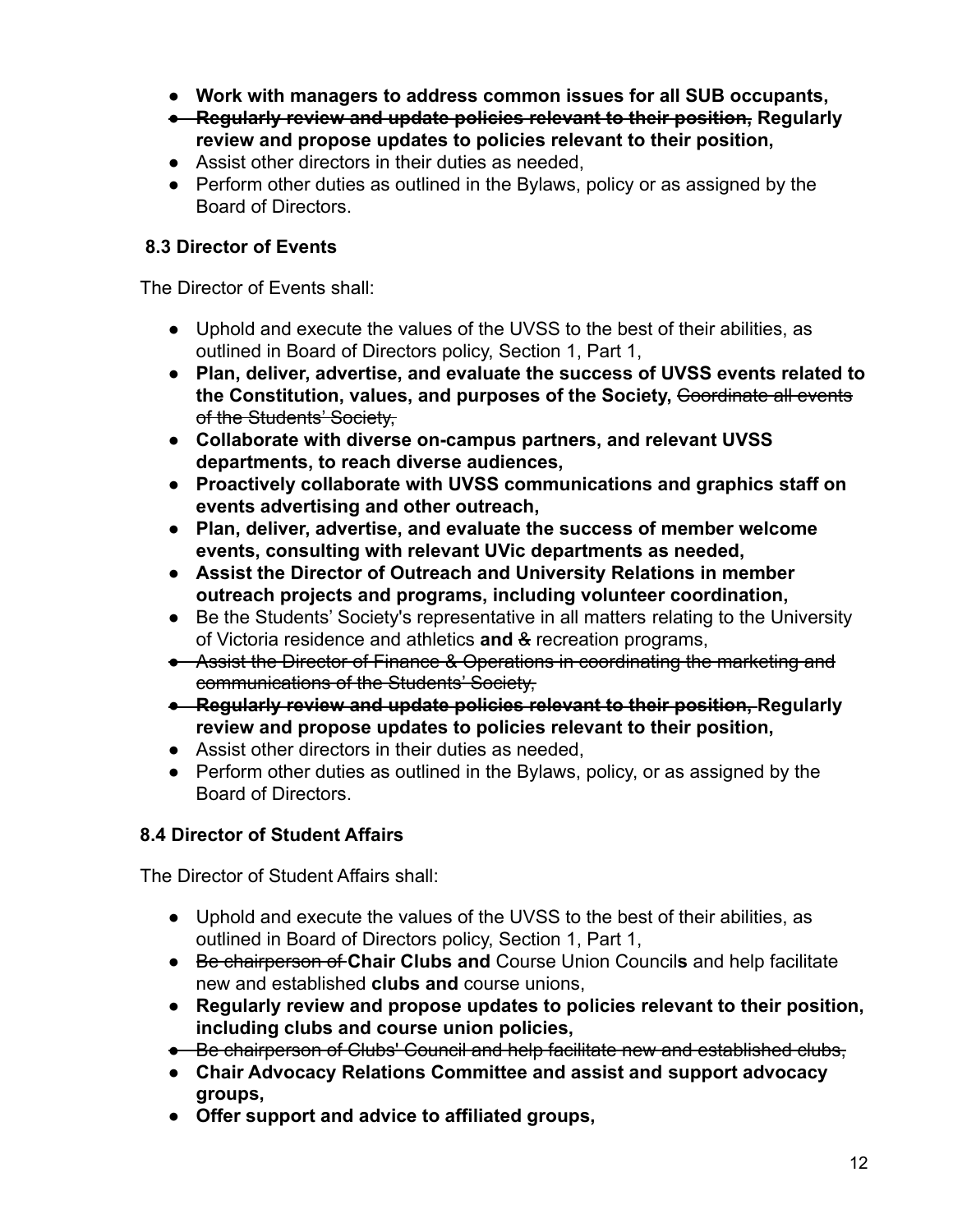- **● Work with managers to address common issues for all SUB occupants,**
- **● Regularly review and update policies relevant to their position, Regularly review and propose updates to policies relevant to their position,**
- Assist other directors in their duties as needed,
- Perform other duties as outlined in the Bylaws, policy or as assigned by the Board of Directors.

## **8.3 Director of Events**

The Director of Events shall:

- Uphold and execute the values of the UVSS to the best of their abilities, as outlined in Board of Directors policy, Section 1, Part 1,
- **Plan, deliver, advertise, and evaluate the success of UVSS events related to** the Constitution, values, and purposes of the Society, Coordinate all events of the Students' Society,
- **● Collaborate with diverse on-campus partners, and relevant UVSS departments, to reach diverse audiences,**
- **● Proactively collaborate with UVSS communications and graphics staff on events advertising and other outreach,**
- **● Plan, deliver, advertise, and evaluate the success of member welcome events, consulting with relevant UVic departments as needed,**
- **● Assist the Director of Outreach and University Relations in member outreach projects and programs, including volunteer coordination,**
- Be the Students' Society's representative in all matters relating to the University of Victoria residence and athletics **and** & recreation programs,
- Assist the Director of Finance & Operations in coordinating the marketing and communications of the Students' Society,
- **Regularly review and update policies relevant to their position, Regularly review and propose updates to policies relevant to their position,**
- Assist other directors in their duties as needed,
- Perform other duties as outlined in the Bylaws, policy, or as assigned by the Board of Directors.

## **8.4 Director of Student Affairs**

The Director of Student Affairs shall:

- Uphold and execute the values of the UVSS to the best of their abilities, as outlined in Board of Directors policy, Section 1, Part 1,
- Be chairperson of **Chair Clubs and** Course Union Council**s** and help facilitate new and established **clubs and** course unions,
- **● Regularly review and propose updates to policies relevant to their position, including clubs and course union policies,**
- Be chairperson of Clubs' Council and help facilitate new and established clubs,
- **Chair Advocacy Relations Committee and assist and support advocacy groups,**
- **● Offer support and advice to affiliated groups,**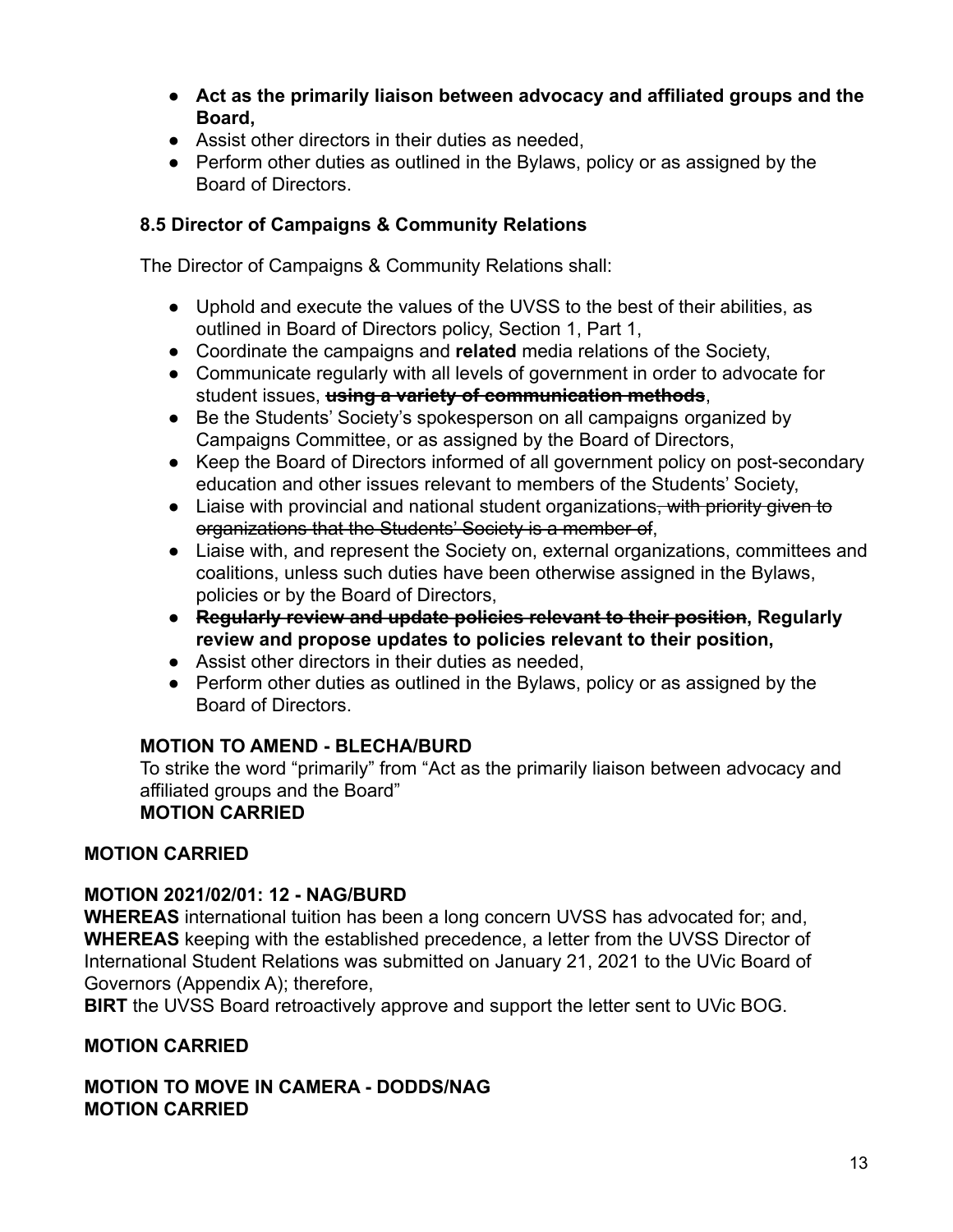- **Act as the primarily liaison between advocacy and affiliated groups and the Board,**
- Assist other directors in their duties as needed,
- Perform other duties as outlined in the Bylaws, policy or as assigned by the Board of Directors.

## **8.5 Director of Campaigns & Community Relations**

The Director of Campaigns & Community Relations shall:

- Uphold and execute the values of the UVSS to the best of their abilities, as outlined in Board of Directors policy, Section 1, Part 1,
- Coordinate the campaigns and **related** media relations of the Society,
- Communicate regularly with all levels of government in order to advocate for student issues, **using a variety of communication methods**,
- Be the Students' Society's spokesperson on all campaigns organized by Campaigns Committee, or as assigned by the Board of Directors,
- Keep the Board of Directors informed of all government policy on post-secondary education and other issues relevant to members of the Students' Society,
- Liaise with provincial and national student organizations<del>, with priority given to</del> organizations that the Students' Society is a member of,
- Liaise with, and represent the Society on, external organizations, committees and coalitions, unless such duties have been otherwise assigned in the Bylaws, policies or by the Board of Directors,
- **Regularly review and update policies relevant to their position, Regularly review and propose updates to policies relevant to their position,**
- Assist other directors in their duties as needed,
- Perform other duties as outlined in the Bylaws, policy or as assigned by the Board of Directors.

## **MOTION TO AMEND - BLECHA/BURD**

To strike the word "primarily" from "Act as the primarily liaison between advocacy and affiliated groups and the Board" **MOTION CARRIED**

## **MOTION CARRIED**

## **MOTION 2021/02/01: 12 - NAG/BURD**

**WHEREAS** international tuition has been a long concern UVSS has advocated for; and, **WHEREAS** keeping with the established precedence, a letter from the UVSS Director of International Student Relations was submitted on January 21, 2021 to the UVic Board of Governors (Appendix A); therefore,

**BIRT** the UVSS Board retroactively approve and support the letter sent to UVic BOG.

## **MOTION CARRIED**

**MOTION TO MOVE IN CAMERA - DODDS/NAG MOTION CARRIED**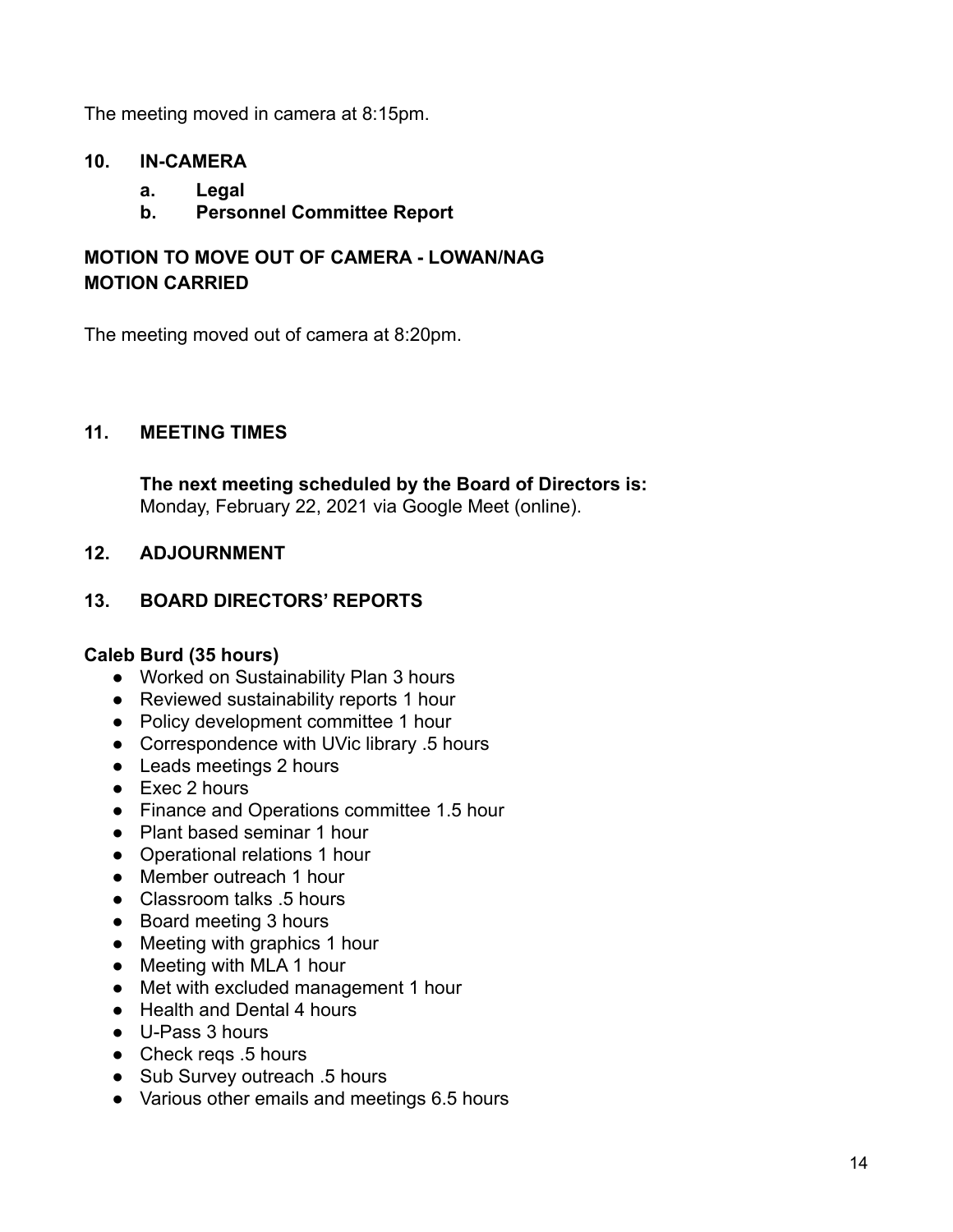The meeting moved in camera at 8:15pm.

## **10. IN-CAMERA**

- **a. Legal**
- **b. Personnel Committee Report**

## **MOTION TO MOVE OUT OF CAMERA - LOWAN/NAG MOTION CARRIED**

The meeting moved out of camera at 8:20pm.

### **11. MEETING TIMES**

**The next meeting scheduled by the Board of Directors is:** Monday, February 22, 2021 via Google Meet (online).

## **12. ADJOURNMENT**

## **13. BOARD DIRECTORS' REPORTS**

#### **Caleb Burd (35 hours)**

- Worked on Sustainability Plan 3 hours
- Reviewed sustainability reports 1 hour
- Policy development committee 1 hour
- Correspondence with UVic library .5 hours
- Leads meetings 2 hours
- Exec 2 hours
- Finance and Operations committee 1.5 hour
- Plant based seminar 1 hour
- Operational relations 1 hour
- Member outreach 1 hour
- Classroom talks .5 hours
- Board meeting 3 hours
- Meeting with graphics 1 hour
- Meeting with MLA 1 hour
- Met with excluded management 1 hour
- Health and Dental 4 hours
- U-Pass 3 hours
- Check regs .5 hours
- Sub Survey outreach .5 hours
- Various other emails and meetings 6.5 hours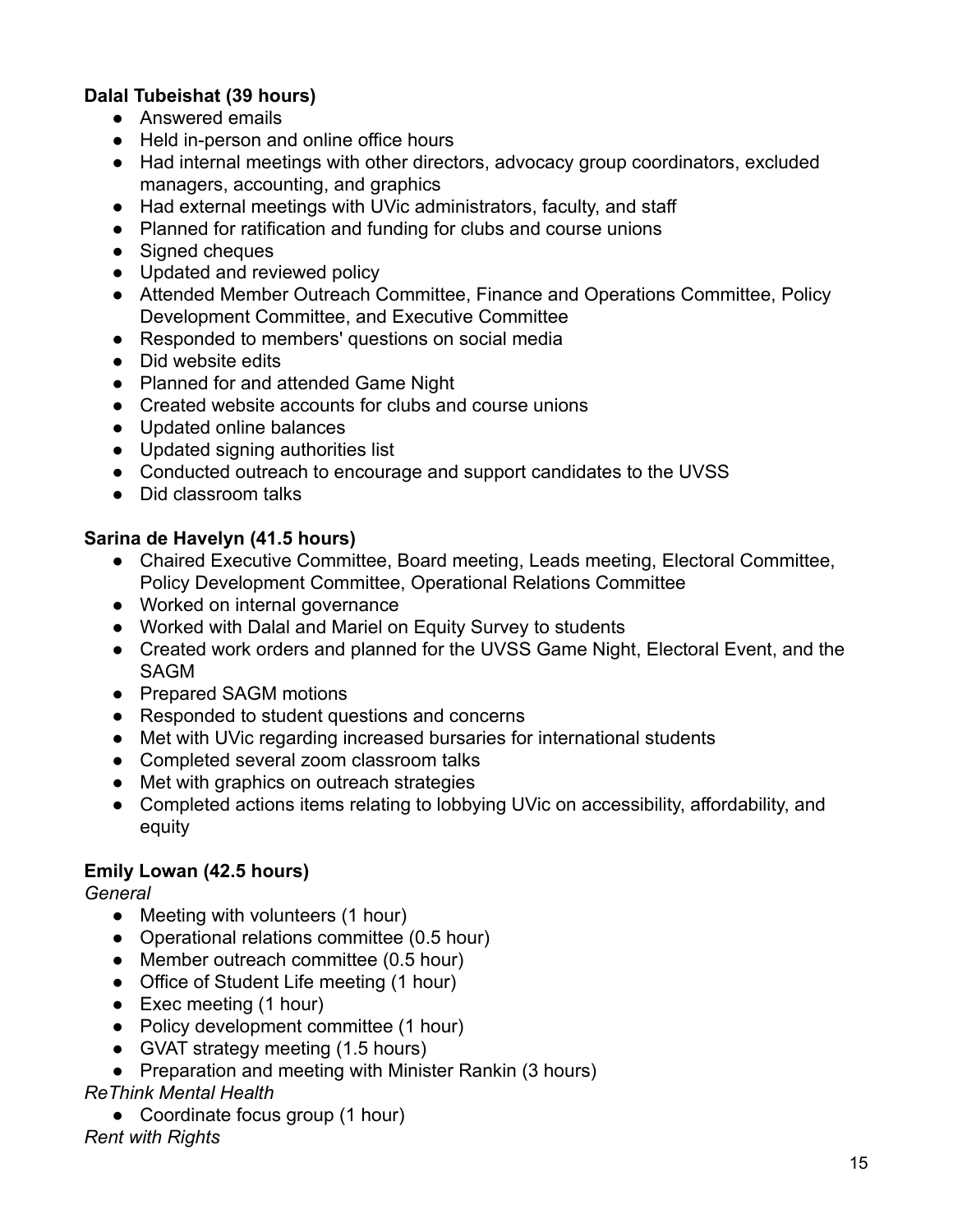## **Dalal Tubeishat (39 hours)**

- Answered emails
- Held in-person and online office hours
- Had internal meetings with other directors, advocacy group coordinators, excluded managers, accounting, and graphics
- Had external meetings with UVic administrators, faculty, and staff
- Planned for ratification and funding for clubs and course unions
- Signed cheques
- Updated and reviewed policy
- Attended Member Outreach Committee, Finance and Operations Committee, Policy Development Committee, and Executive Committee
- Responded to members' questions on social media
- Did website edits
- Planned for and attended Game Night
- Created website accounts for clubs and course unions
- Updated online balances
- Updated signing authorities list
- Conducted outreach to encourage and support candidates to the UVSS
- Did classroom talks

#### **Sarina de Havelyn (41.5 hours)**

- Chaired Executive Committee, Board meeting, Leads meeting, Electoral Committee, Policy Development Committee, Operational Relations Committee
- Worked on internal governance
- Worked with Dalal and Mariel on Equity Survey to students
- Created work orders and planned for the UVSS Game Night, Electoral Event, and the SAGM
- Prepared SAGM motions
- Responded to student questions and concerns
- Met with UVic regarding increased bursaries for international students
- Completed several zoom classroom talks
- Met with graphics on outreach strategies
- Completed actions items relating to lobbying UVic on accessibility, affordability, and equity

#### **Emily Lowan (42.5 hours)**

*General*

- Meeting with volunteers (1 hour)
- Operational relations committee (0.5 hour)
- Member outreach committee (0.5 hour)
- Office of Student Life meeting (1 hour)
- Exec meeting (1 hour)
- Policy development committee (1 hour)
- GVAT strategy meeting (1.5 hours)
- Preparation and meeting with Minister Rankin (3 hours)

## *ReThink Mental Health*

● Coordinate focus group (1 hour)

#### *Rent with Rights*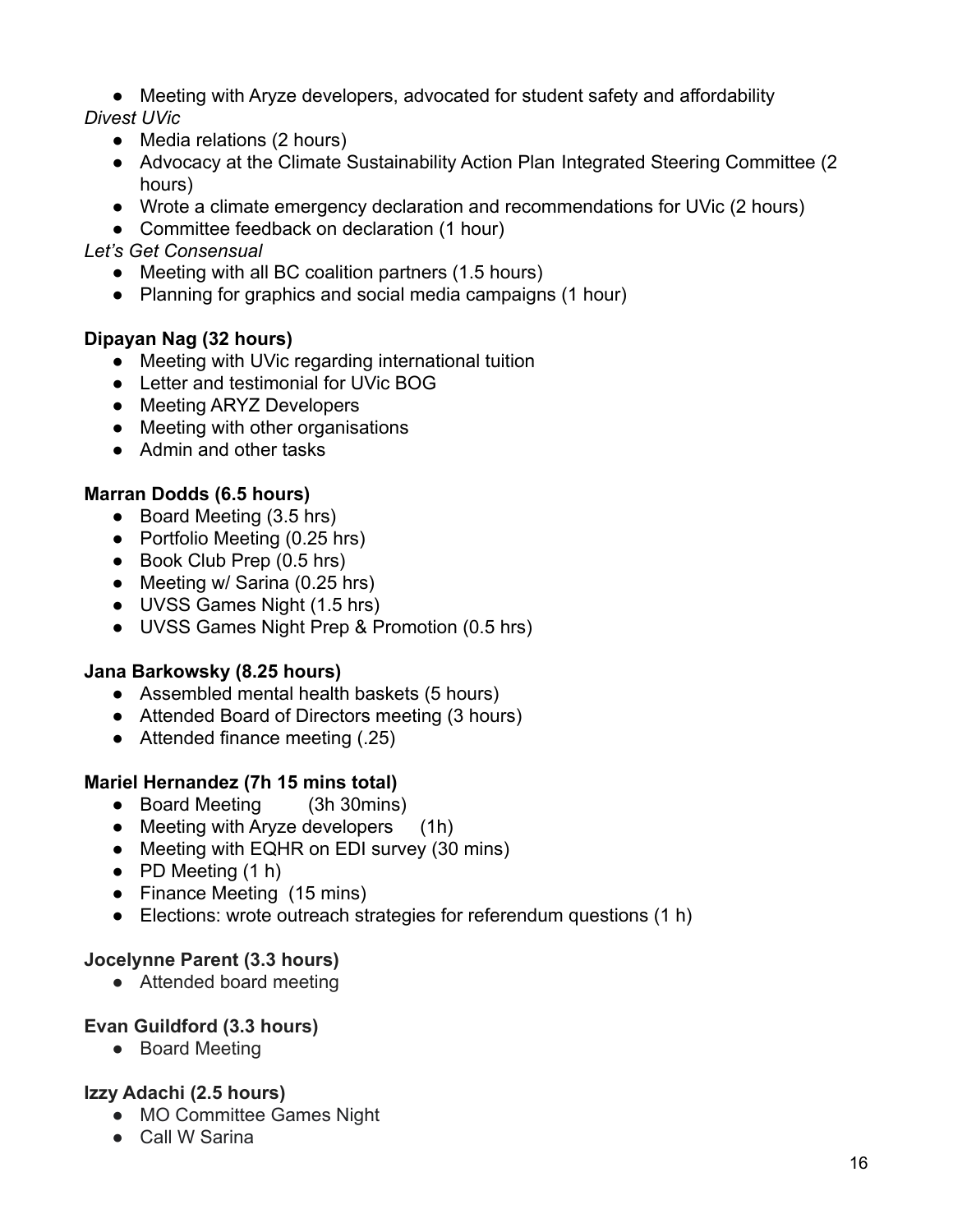• Meeting with Aryze developers, advocated for student safety and affordability

*Divest UVic*

- Media relations (2 hours)
- Advocacy at the Climate Sustainability Action Plan Integrated Steering Committee (2) hours)
- Wrote a climate emergency declaration and recommendations for UVic (2 hours)
- Committee feedback on declaration (1 hour)

## *Let's Get Consensual*

- Meeting with all BC coalition partners (1.5 hours)
- Planning for graphics and social media campaigns (1 hour)

## **Dipayan Nag (32 hours)**

- Meeting with UVic regarding international tuition
- Letter and testimonial for UVic BOG
- Meeting ARYZ Developers
- Meeting with other organisations
- Admin and other tasks

## **Marran Dodds (6.5 hours)**

- Board Meeting (3.5 hrs)
- Portfolio Meeting (0.25 hrs)
- Book Club Prep (0.5 hrs)
- Meeting w/ Sarina (0.25 hrs)
- UVSS Games Night (1.5 hrs)
- UVSS Games Night Prep & Promotion (0.5 hrs)

## **Jana Barkowsky (8.25 hours)**

- Assembled mental health baskets (5 hours)
- Attended Board of Directors meeting (3 hours)
- Attended finance meeting (.25)

## **Mariel Hernandez (7h 15 mins total)**

- Board Meeting (3h 30mins)
- Meeting with Aryze developers (1h)
- Meeting with EQHR on EDI survey (30 mins)
- $\bullet$  PD Meeting  $(1 h)$
- Finance Meeting (15 mins)
- Elections: wrote outreach strategies for referendum questions (1 h)

## **Jocelynne Parent (3.3 hours)**

● Attended board meeting

## **Evan Guildford (3.3 hours)**

● Board Meeting

## **Izzy Adachi (2.5 hours)**

- MO Committee Games Night
- Call W Sarina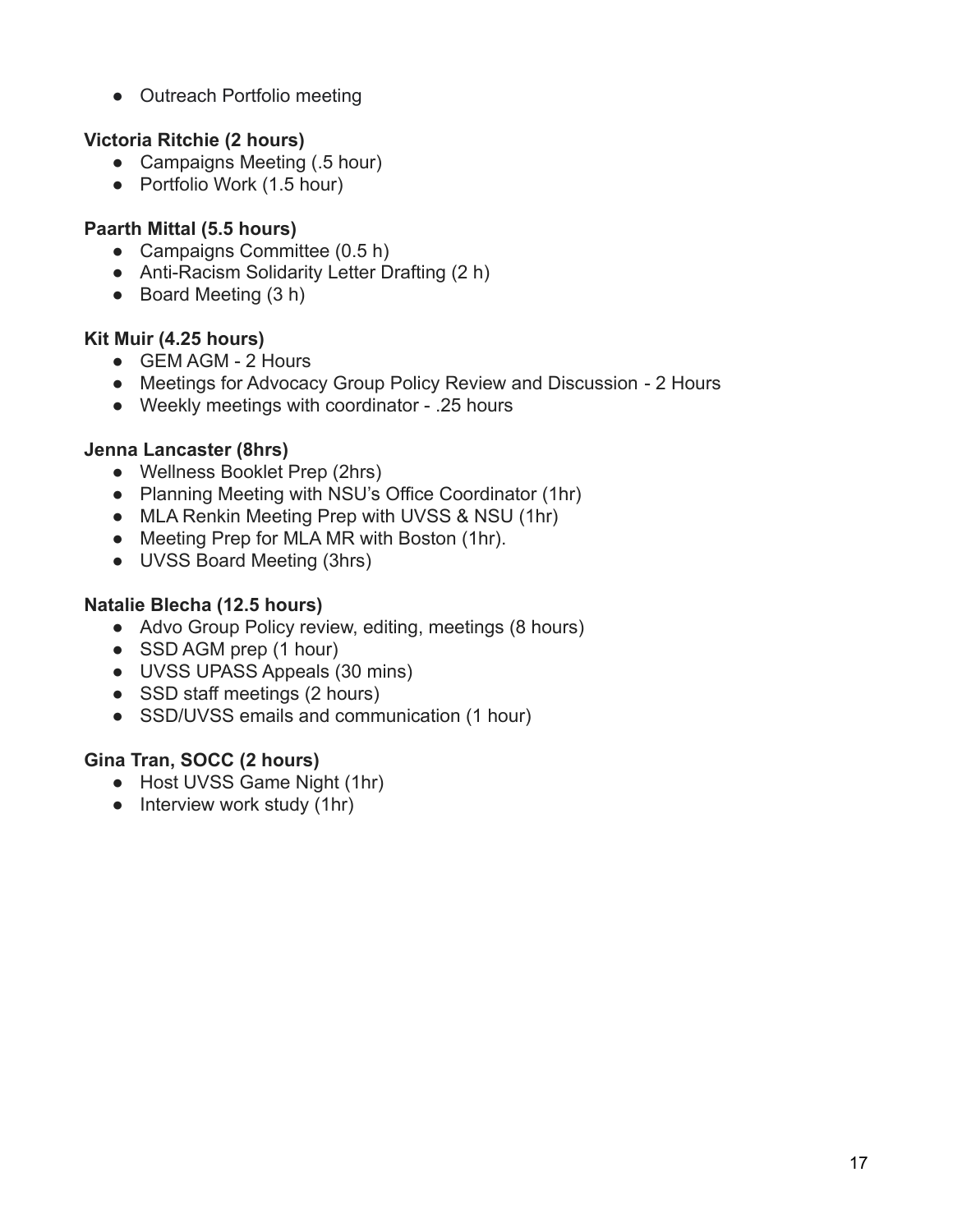• Outreach Portfolio meeting

## **Victoria Ritchie (2 hours)**

- Campaigns Meeting (.5 hour)
- Portfolio Work (1.5 hour)

## **Paarth Mittal (5.5 hours)**

- Campaigns Committee (0.5 h)
- Anti-Racism Solidarity Letter Drafting (2 h)
- Board Meeting (3 h)

## **Kit Muir (4.25 hours)**

- GEM AGM 2 Hours
- Meetings for Advocacy Group Policy Review and Discussion 2 Hours
- Weekly meetings with coordinator .25 hours

## **Jenna Lancaster (8hrs)**

- Wellness Booklet Prep (2hrs)
- Planning Meeting with NSU's Office Coordinator (1hr)
- MLA Renkin Meeting Prep with UVSS & NSU (1hr)
- Meeting Prep for MLA MR with Boston (1hr).
- UVSS Board Meeting (3hrs)

## **Natalie Blecha (12.5 hours)**

- Advo Group Policy review, editing, meetings (8 hours)
- SSD AGM prep (1 hour)
- UVSS UPASS Appeals (30 mins)
- SSD staff meetings (2 hours)
- SSD/UVSS emails and communication (1 hour)

## **Gina Tran, SOCC (2 hours)**

- Host UVSS Game Night (1hr)
- Interview work study (1hr)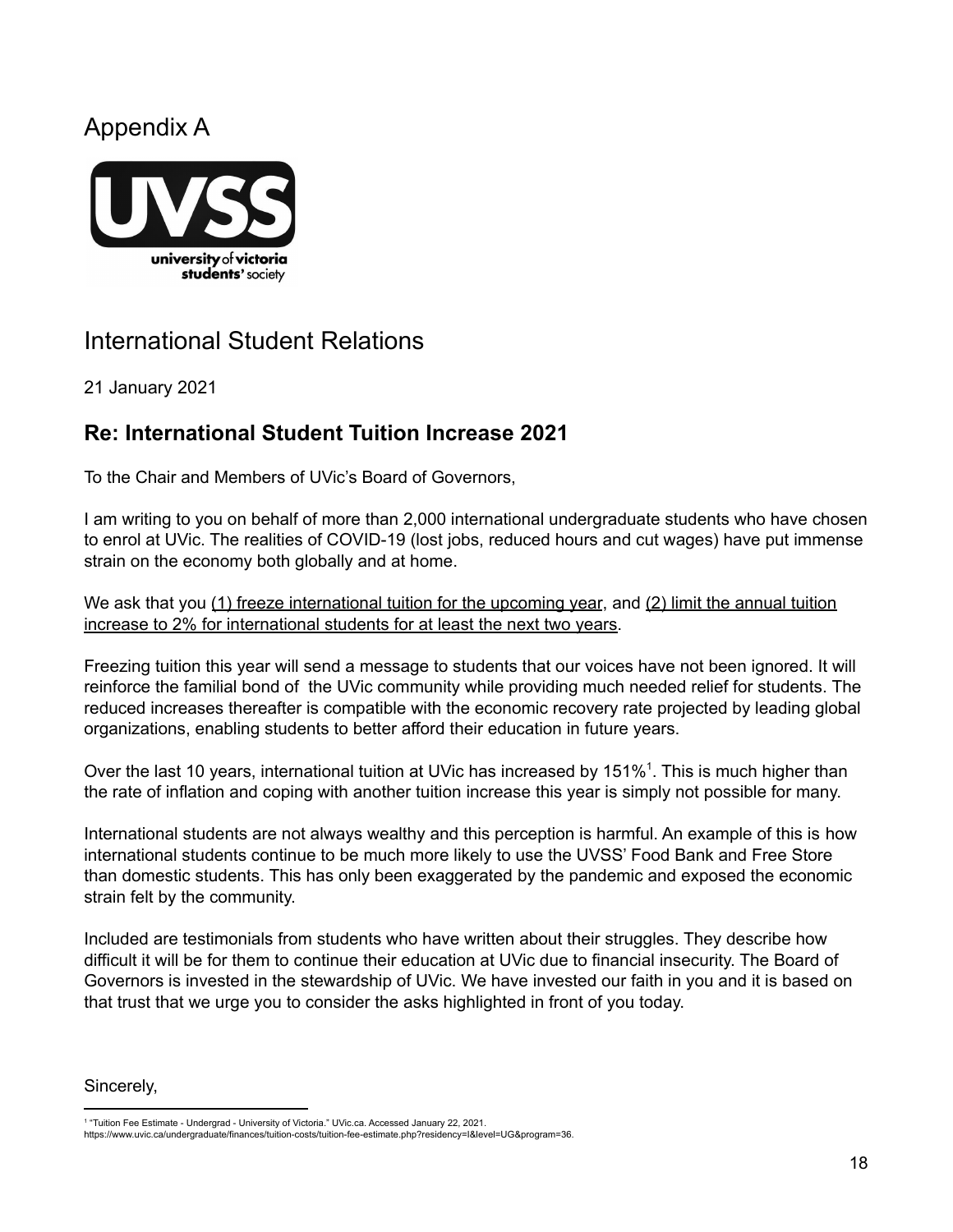# Appendix A



# International Student Relations

21 January 2021

# **Re: International Student Tuition Increase 2021**

To the Chair and Members of UVic's Board of Governors,

I am writing to you on behalf of more than 2,000 international undergraduate students who have chosen to enrol at UVic. The realities of COVID-19 (lost jobs, reduced hours and cut wages) have put immense strain on the economy both globally and at home.

We ask that you (1) freeze international tuition for the upcoming year, and (2) limit the annual tuition increase to 2% for international students for at least the next two years.

Freezing tuition this year will send a message to students that our voices have not been ignored. It will reinforce the familial bond of the UVic community while providing much needed relief for students. The reduced increases thereafter is compatible with the economic recovery rate projected by leading global organizations, enabling students to better afford their education in future years.

Over the last 10 years, international tuition at UVic has increased by 151%<sup>1</sup>. This is much higher than the rate of inflation and coping with another tuition increase this year is simply not possible for many.

International students are not always wealthy and this perception is harmful. An example of this is how international students continue to be much more likely to use the UVSS' Food Bank and Free Store than domestic students. This has only been exaggerated by the pandemic and exposed the economic strain felt by the community.

Included are testimonials from students who have written about their struggles. They describe how difficult it will be for them to continue their education at UVic due to financial insecurity. The Board of Governors is invested in the stewardship of UVic. We have invested our faith in you and it is based on that trust that we urge you to consider the asks highlighted in front of you today.

#### Sincerely,

<sup>1</sup> "Tuition Fee Estimate - Undergrad - University of Victoria." UVic.ca. Accessed January 22, 2021.

https://www.uvic.ca/undergraduate/finances/tuition-costs/tuition-fee-estimate.php?residency=I&level=UG&program=36.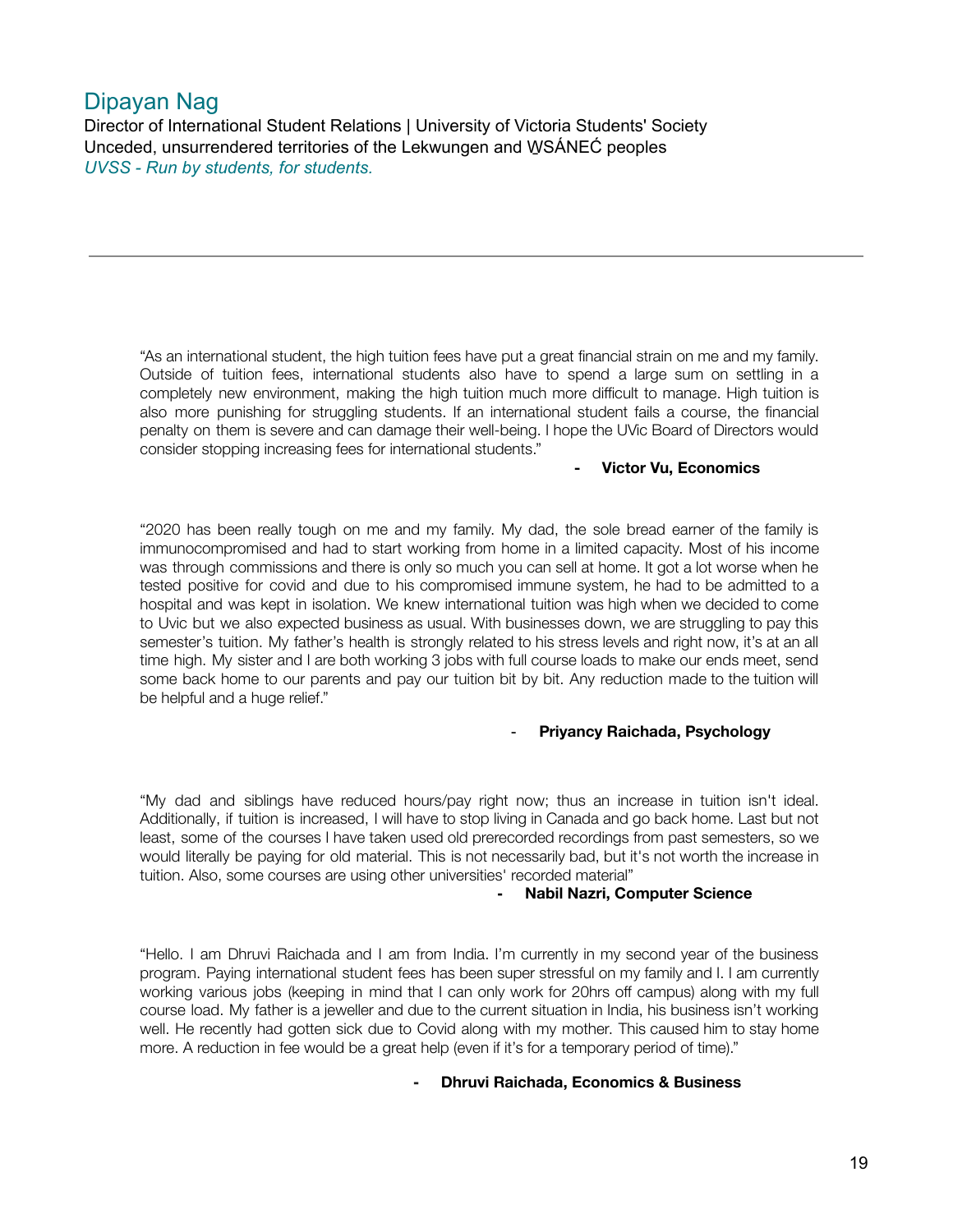## Dipayan Nag

Director of International Student Relations | University of Victoria Students' Society Unceded, unsurrendered territories of the Lekwungen and W̱SÁNEĆ peoples *UVSS - Run by students, for students.*

"As an international student, the high tuition fees have put a great financial strain on me and my family. Outside of tuition fees, international students also have to spend a large sum on settling in a completely new environment, making the high tuition much more difficult to manage. High tuition is also more punishing for struggling students. If an international student fails a course, the financial penalty on them is severe and can damage their well-being. I hope the UVic Board of Directors would consider stopping increasing fees for international students."

#### **- Victor Vu, Economics**

"2020 has been really tough on me and my family. My dad, the sole bread earner of the family is immunocompromised and had to start working from home in a limited capacity. Most of his income was through commissions and there is only so much you can sell at home. It got a lot worse when he tested positive for covid and due to his compromised immune system, he had to be admitted to a hospital and was kept in isolation. We knew international tuition was high when we decided to come to Uvic but we also expected business as usual. With businesses down, we are struggling to pay this semester's tuition. My father's health is strongly related to his stress levels and right now, it's at an all time high. My sister and I are both working 3 jobs with full course loads to make our ends meet, send some back home to our parents and pay our tuition bit by bit. Any reduction made to the tuition will be helpful and a huge relief."

#### - **Priyancy Raichada, Psychology**

"My dad and siblings have reduced hours/pay right now; thus an increase in tuition isn't ideal. Additionally, if tuition is increased, I will have to stop living in Canada and go back home. Last but not least, some of the courses I have taken used old prerecorded recordings from past semesters, so we would literally be paying for old material. This is not necessarily bad, but it's not worth the increase in tuition. Also, some courses are using other universities' recorded material"

#### **- Nabil Nazri, Computer Science**

"Hello. I am Dhruvi Raichada and I am from India. I'm currently in my second year of the business program. Paying international student fees has been super stressful on my family and I. I am currently working various jobs (keeping in mind that I can only work for 20hrs off campus) along with my full course load. My father is a jeweller and due to the current situation in India, his business isn't working well. He recently had gotten sick due to Covid along with my mother. This caused him to stay home more. A reduction in fee would be a great help (even if it's for a temporary period of time)."

**- Dhruvi Raichada, Economics & Business**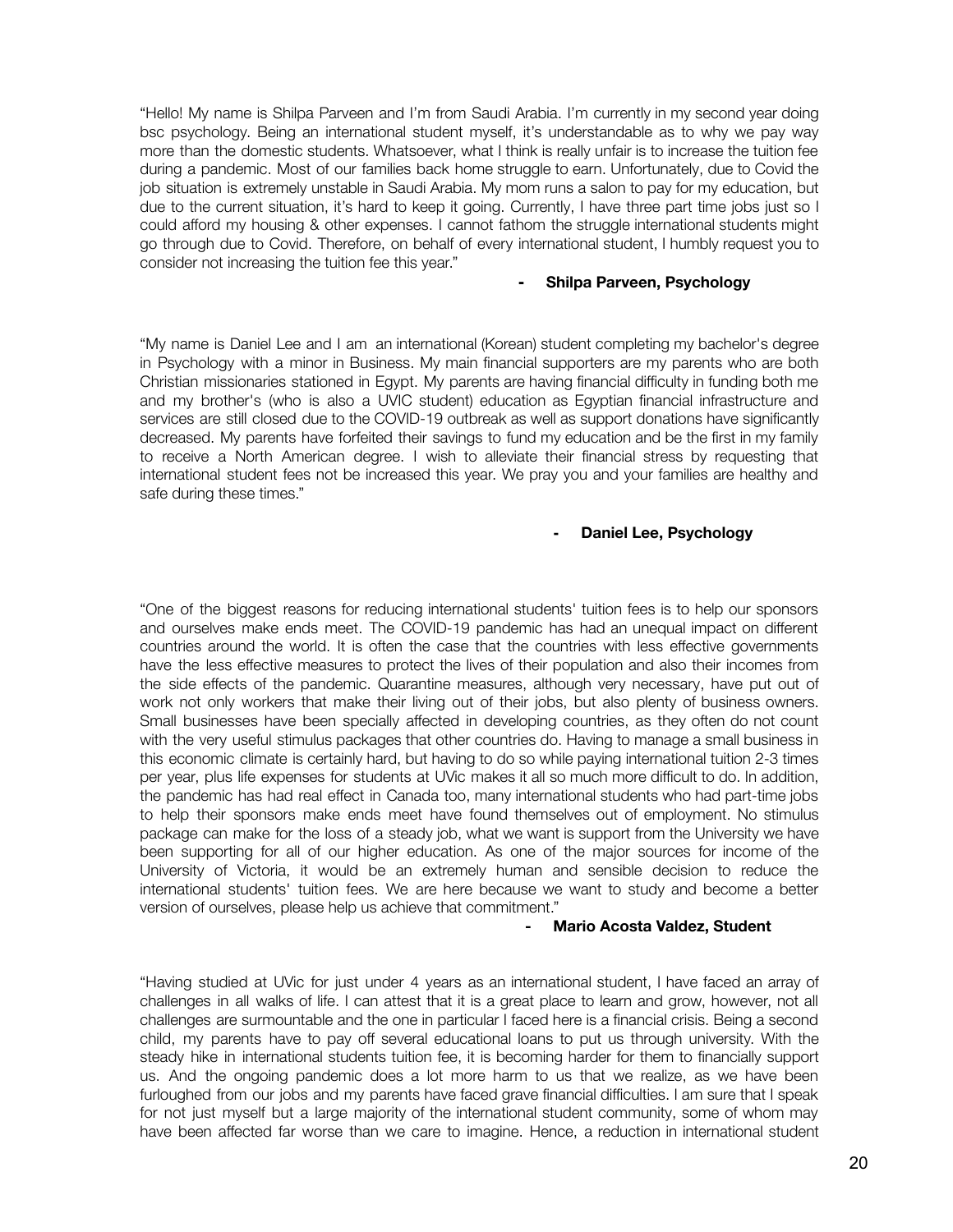"Hello! My name is Shilpa Parveen and I'm from Saudi Arabia. I'm currently in my second year doing bsc psychology. Being an international student myself, it's understandable as to why we pay way more than the domestic students. Whatsoever, what I think is really unfair is to increase the tuition fee during a pandemic. Most of our families back home struggle to earn. Unfortunately, due to Covid the job situation is extremely unstable in Saudi Arabia. My mom runs a salon to pay for my education, but due to the current situation, it's hard to keep it going. Currently, I have three part time jobs just so I could afford my housing & other expenses. I cannot fathom the struggle international students might go through due to Covid. Therefore, on behalf of every international student, I humbly request you to consider not increasing the tuition fee this year."

#### **- Shilpa Parveen, Psychology**

"My name is Daniel Lee and I am an international (Korean) student completing my bachelor's degree in Psychology with a minor in Business. My main financial supporters are my parents who are both Christian missionaries stationed in Egypt. My parents are having financial difficulty in funding both me and my brother's (who is also a UVIC student) education as Egyptian financial infrastructure and services are still closed due to the COVID-19 outbreak as well as support donations have significantly decreased. My parents have forfeited their savings to fund my education and be the first in my family to receive a North American degree. I wish to alleviate their financial stress by requesting that international student fees not be increased this year. We pray you and your families are healthy and safe during these times."

#### **- Daniel Lee, Psychology**

"One of the biggest reasons for reducing international students' tuition fees is to help our sponsors and ourselves make ends meet. The COVID-19 pandemic has had an unequal impact on different countries around the world. It is often the case that the countries with less effective governments have the less effective measures to protect the lives of their population and also their incomes from the side effects of the pandemic. Quarantine measures, although very necessary, have put out of work not only workers that make their living out of their jobs, but also plenty of business owners. Small businesses have been specially affected in developing countries, as they often do not count with the very useful stimulus packages that other countries do. Having to manage a small business in this economic climate is certainly hard, but having to do so while paying international tuition 2-3 times per year, plus life expenses for students at UVic makes it all so much more difficult to do. In addition, the pandemic has had real effect in Canada too, many international students who had part-time jobs to help their sponsors make ends meet have found themselves out of employment. No stimulus package can make for the loss of a steady job, what we want is support from the University we have been supporting for all of our higher education. As one of the major sources for income of the University of Victoria, it would be an extremely human and sensible decision to reduce the international students' tuition fees. We are here because we want to study and become a better version of ourselves, please help us achieve that commitment."

#### **- Mario Acosta Valdez, Student**

"Having studied at UVic for just under 4 years as an international student, I have faced an array of challenges in all walks of life. I can attest that it is a great place to learn and grow, however, not all challenges are surmountable and the one in particular I faced here is a financial crisis. Being a second child, my parents have to pay off several educational loans to put us through university. With the steady hike in international students tuition fee, it is becoming harder for them to financially support us. And the ongoing pandemic does a lot more harm to us that we realize, as we have been furloughed from our jobs and my parents have faced grave financial difficulties. I am sure that I speak for not just myself but a large majority of the international student community, some of whom may have been affected far worse than we care to imagine. Hence, a reduction in international student